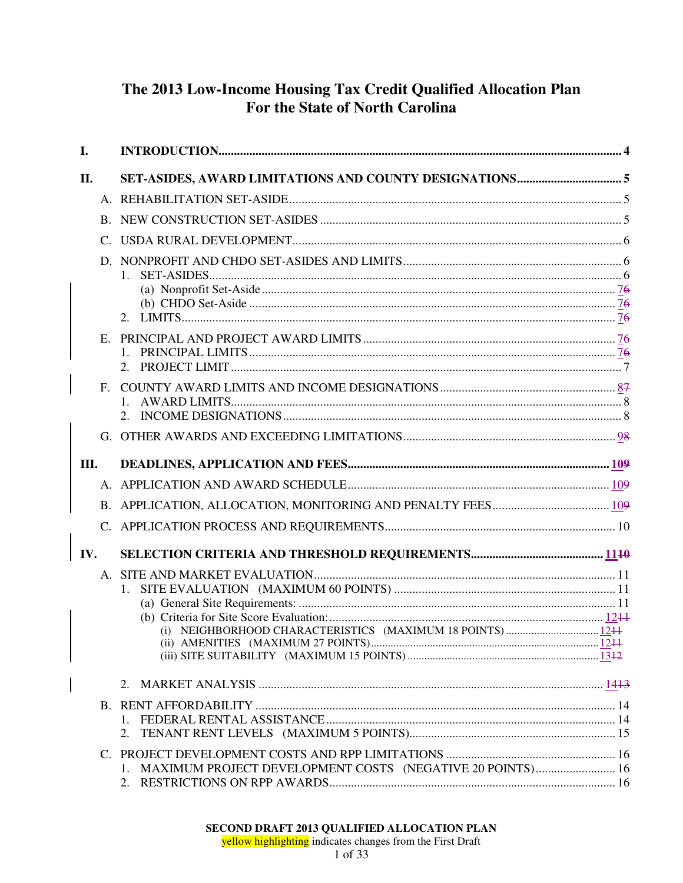# The 2013 Low-Income Housing Tax Credit Qualified Allocation Plan For the State of North Carolina

| I.          |                                                              |  |
|-------------|--------------------------------------------------------------|--|
| П.          |                                                              |  |
|             |                                                              |  |
|             |                                                              |  |
|             |                                                              |  |
|             | $1_{-}$                                                      |  |
|             |                                                              |  |
|             |                                                              |  |
| $F_{\cdot}$ |                                                              |  |
|             |                                                              |  |
| Ш.          |                                                              |  |
|             |                                                              |  |
|             |                                                              |  |
|             |                                                              |  |
| IV.         |                                                              |  |
|             | (i) NEIGHBORHOOD CHARACTERISTICS (MAXIMUM 18 POINTS) 1244    |  |
|             |                                                              |  |
|             | 2.                                                           |  |
|             | 1. MAXIMUM PROJECT DEVELOPMENT COSTS (NEGATIVE 20 POINTS) 16 |  |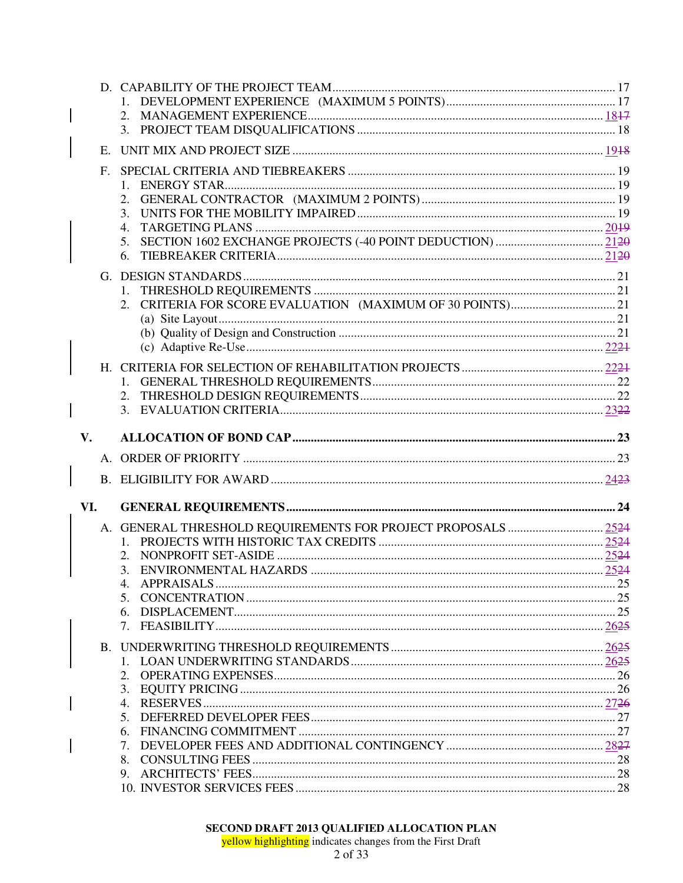|               | E.             |                  |  |
|---------------|----------------|------------------|--|
|               | F <sub>r</sub> |                  |  |
|               |                |                  |  |
|               |                |                  |  |
|               |                | 3.               |  |
|               |                | $\overline{4}$ . |  |
|               |                | 5.               |  |
|               |                | 6.               |  |
|               |                |                  |  |
|               |                |                  |  |
|               |                | 2.               |  |
|               |                |                  |  |
|               |                |                  |  |
|               |                |                  |  |
|               |                |                  |  |
|               |                |                  |  |
|               |                |                  |  |
|               |                |                  |  |
|               |                |                  |  |
| $V_{\bullet}$ |                |                  |  |
|               |                |                  |  |
|               |                |                  |  |
|               |                |                  |  |
| VI.           |                |                  |  |
|               |                |                  |  |
|               |                |                  |  |
|               |                |                  |  |
|               |                | 3.               |  |
|               |                |                  |  |
|               |                | 5.               |  |
|               |                | 6.               |  |
|               |                |                  |  |
|               |                |                  |  |
|               |                |                  |  |
|               |                |                  |  |
|               |                | 2.               |  |
|               |                | 3.               |  |
|               |                | 4.               |  |
|               |                | 5.               |  |
|               |                | 6.               |  |
|               |                | 7.               |  |
|               |                | 8.               |  |
|               |                | 9.               |  |

 $\overline{\phantom{a}}$ 

 $\overline{\phantom{a}}$ 

 $\overline{\phantom{a}}$ 

 $\overline{\phantom{a}}$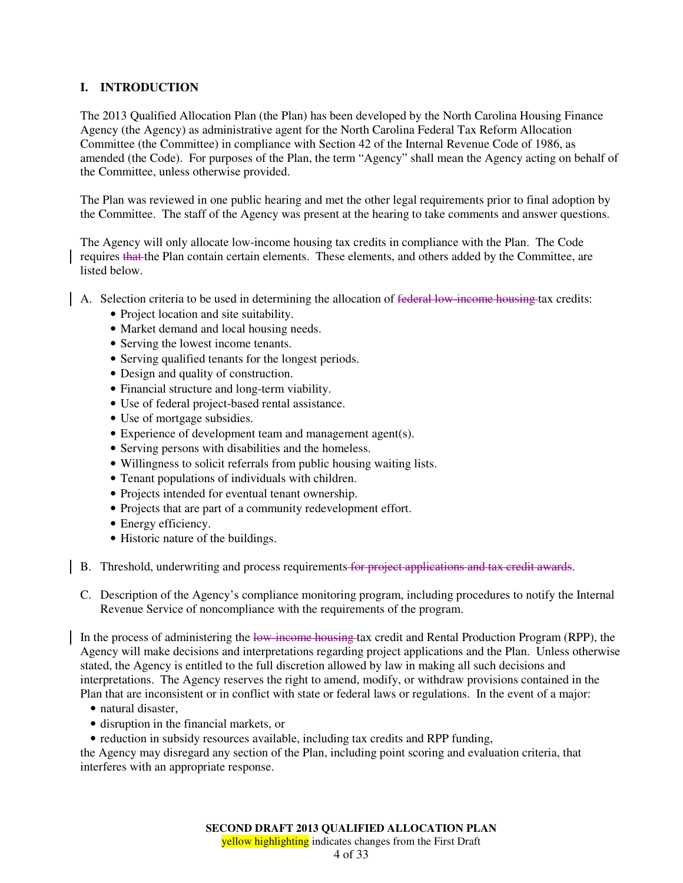# **I. INTRODUCTION**

The 2013 Qualified Allocation Plan (the Plan) has been developed by the North Carolina Housing Finance Agency (the Agency) as administrative agent for the North Carolina Federal Tax Reform Allocation Committee (the Committee) in compliance with Section 42 of the Internal Revenue Code of 1986, as amended (the Code). For purposes of the Plan, the term "Agency" shall mean the Agency acting on behalf of the Committee, unless otherwise provided.

The Plan was reviewed in one public hearing and met the other legal requirements prior to final adoption by the Committee. The staff of the Agency was present at the hearing to take comments and answer questions.

The Agency will only allocate low-income housing tax credits in compliance with the Plan. The Code requires that the Plan contain certain elements. These elements, and others added by the Committee, are listed below.

- A. Selection criteria to be used in determining the allocation of federal low-income housing tax credits:
	- Project location and site suitability.
	- Market demand and local housing needs.
	- Serving the lowest income tenants.
	- Serving qualified tenants for the longest periods.
	- Design and quality of construction.
	- Financial structure and long-term viability.
	- Use of federal project-based rental assistance.
	- Use of mortgage subsidies.
	- Experience of development team and management agent(s).
	- Serving persons with disabilities and the homeless.
	- Willingness to solicit referrals from public housing waiting lists.
	- Tenant populations of individuals with children.
	- Projects intended for eventual tenant ownership.
	- Projects that are part of a community redevelopment effort.
	- Energy efficiency.
	- Historic nature of the buildings.
- B. Threshold, underwriting and process requirements for project applications and tax credit awards.
	- C. Description of the Agency's compliance monitoring program, including procedures to notify the Internal Revenue Service of noncompliance with the requirements of the program.

In the process of administering the low-income housing tax credit and Rental Production Program (RPP), the Agency will make decisions and interpretations regarding project applications and the Plan. Unless otherwise stated, the Agency is entitled to the full discretion allowed by law in making all such decisions and interpretations. The Agency reserves the right to amend, modify, or withdraw provisions contained in the Plan that are inconsistent or in conflict with state or federal laws or regulations. In the event of a major:

- natural disaster,
- disruption in the financial markets, or
- reduction in subsidy resources available, including tax credits and RPP funding,

the Agency may disregard any section of the Plan, including point scoring and evaluation criteria, that interferes with an appropriate response.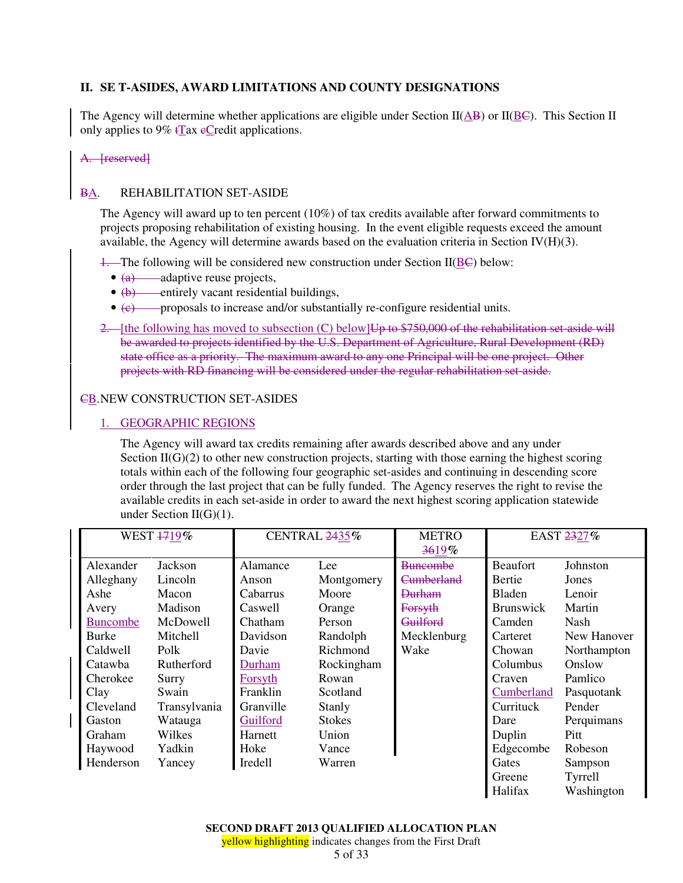# **II. SE T-ASIDES, AWARD LIMITATIONS AND COUNTY DESIGNATIONS**

The Agency will determine whether applications are eligible under Section II( $\overline{AB}$ ) or II( $\overline{BE}$ ). This Section II only applies to  $9\%$  tTax eCredit applications.

A. [reserved]

# BA. REHABILITATION SET-ASIDE

The Agency will award up to ten percent (10%) of tax credits available after forward commitments to projects proposing rehabilitation of existing housing. In the event eligible requests exceed the amount available, the Agency will determine awards based on the evaluation criteria in Section IV $(H)(3)$ .

 $\frac{1}{1}$ . The following will be considered new construction under Section II( $\underline{B}\underline{C}$ ) below:

- $\bullet$   $\overline{(a)}$  adaptive reuse projects,
- (b) entirely vacant residential buildings,
- $\bullet$   $\epsilon$  proposals to increase and/or substantially re-configure residential units.
- 2. [the following has moved to subsection (C) below] Up to \$750,000 of the rehabilitation set-aside will be awarded to projects identified by the U.S. Department of Agriculture, Rural Development (RD) state office as a priority. The maximum award to any one Principal will be one project. Other projects with RD financing will be considered under the regular rehabilitation set-aside.

## CB. NEW CONSTRUCTION SET-ASIDES

# 1. GEOGRAPHIC REGIONS

The Agency will award tax credits remaining after awards described above and any under Section  $II(G)(2)$  to other new construction projects, starting with those earning the highest scoring totals within each of the following four geographic set-asides and continuing in descending score order through the last project that can be fully funded. The Agency reserves the right to revise the available credits in each set-aside in order to award the next highest scoring application statewide under Section  $II(G)(1)$ .

| WEST 1719%      |              | CENTRAL 2435% |               | <b>METRO</b>          |                  | EAST 2327%  |
|-----------------|--------------|---------------|---------------|-----------------------|------------------|-------------|
|                 |              |               |               | 3619%                 |                  |             |
| Alexander       | Jackson      | Alamance      | Lee           | <b>Buncombe</b>       | <b>Beaufort</b>  | Johnston    |
| Alleghany       | Lincoln      | Anson         | Montgomery    | <del>Cumberland</del> | Bertie           | Jones       |
| Ashe            | Macon        | Cabarrus      | Moore         | Durham                | Bladen           | Lenoir      |
| Avery           | Madison      | Caswell       | Orange        | Forsyth               | <b>Brunswick</b> | Martin      |
| <b>Buncombe</b> | McDowell     | Chatham       | Person        | Guilford              | Camden           | Nash        |
| <b>Burke</b>    | Mitchell     | Davidson      | Randolph      | Mecklenburg           | Carteret         | New Hanover |
| Caldwell        | Polk         | Davie         | Richmond      | Wake                  | Chowan           | Northampton |
| Catawba         | Rutherford   | Durham        | Rockingham    |                       | Columbus         | Onslow      |
| Cherokee        | Surry        | Forsyth       | Rowan         |                       | Craven           | Pamlico     |
| Clay            | Swain        | Franklin      | Scotland      |                       | Cumberland       | Pasquotank  |
| Cleveland       | Transylvania | Granville     | <b>Stanly</b> |                       | Currituck        | Pender      |
| Gaston          | Watauga      | Guilford      | <b>Stokes</b> |                       | Dare             | Perquimans  |
| Graham          | Wilkes       | Harnett       | Union         |                       | Duplin           | Pitt        |
| Haywood         | Yadkin       | Hoke          | Vance         |                       | Edgecombe        | Robeson     |
| Henderson       | Yancey       | Iredell       | Warren        |                       | Gates            | Sampson     |
|                 |              |               |               |                       | Greene           | Tyrrell     |
|                 |              |               |               |                       | Halifax          | Washington  |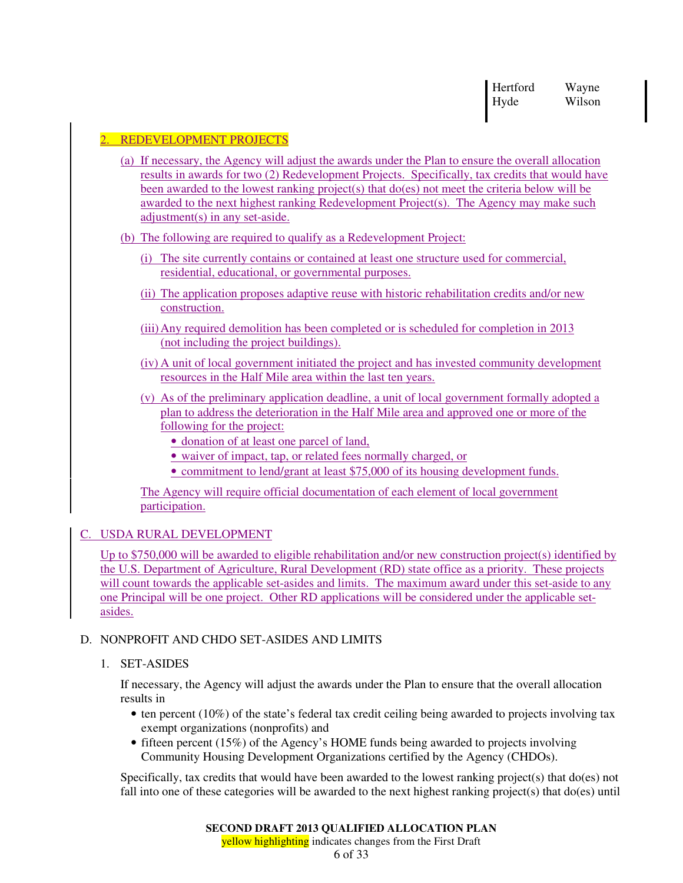Hertford Wayne Hyde Wilson

# 2. REDEVELOPMENT PROJECTS

- (a) If necessary, the Agency will adjust the awards under the Plan to ensure the overall allocation results in awards for two (2) Redevelopment Projects. Specifically, tax credits that would have been awarded to the lowest ranking project(s) that  $do(es)$  not meet the criteria below will be awarded to the next highest ranking Redevelopment Project(s). The Agency may make such adjustment(s) in any set-aside.
- (b) The following are required to qualify as a Redevelopment Project:
	- (i) The site currently contains or contained at least one structure used for commercial, residential, educational, or governmental purposes.
	- (ii) The application proposes adaptive reuse with historic rehabilitation credits and/or new construction.
	- (iii) Any required demolition has been completed or is scheduled for completion in 2013 (not including the project buildings).
	- (iv) A unit of local government initiated the project and has invested community development resources in the Half Mile area within the last ten years.
	- (v) As of the preliminary application deadline, a unit of local government formally adopted a plan to address the deterioration in the Half Mile area and approved one or more of the following for the project:
		- donation of at least one parcel of land,
		- waiver of impact, tap, or related fees normally charged, or
		- commitment to lend/grant at least \$75,000 of its housing development funds.

The Agency will require official documentation of each element of local government participation.

## C. USDA RURAL DEVELOPMENT

Up to \$750,000 will be awarded to eligible rehabilitation and/or new construction project(s) identified by the U.S. Department of Agriculture, Rural Development (RD) state office as a priority. These projects will count towards the applicable set-asides and limits. The maximum award under this set-aside to any one Principal will be one project. Other RD applications will be considered under the applicable setasides.

## D. NONPROFIT AND CHDO SET-ASIDES AND LIMITS

1. SET-ASIDES

If necessary, the Agency will adjust the awards under the Plan to ensure that the overall allocation results in

- ten percent (10%) of the state's federal tax credit ceiling being awarded to projects involving tax exempt organizations (nonprofits) and
- fifteen percent (15%) of the Agency's HOME funds being awarded to projects involving Community Housing Development Organizations certified by the Agency (CHDOs).

Specifically, tax credits that would have been awarded to the lowest ranking project(s) that do(es) not fall into one of these categories will be awarded to the next highest ranking project(s) that do(es) until

yellow highlighting indicates changes from the First Draft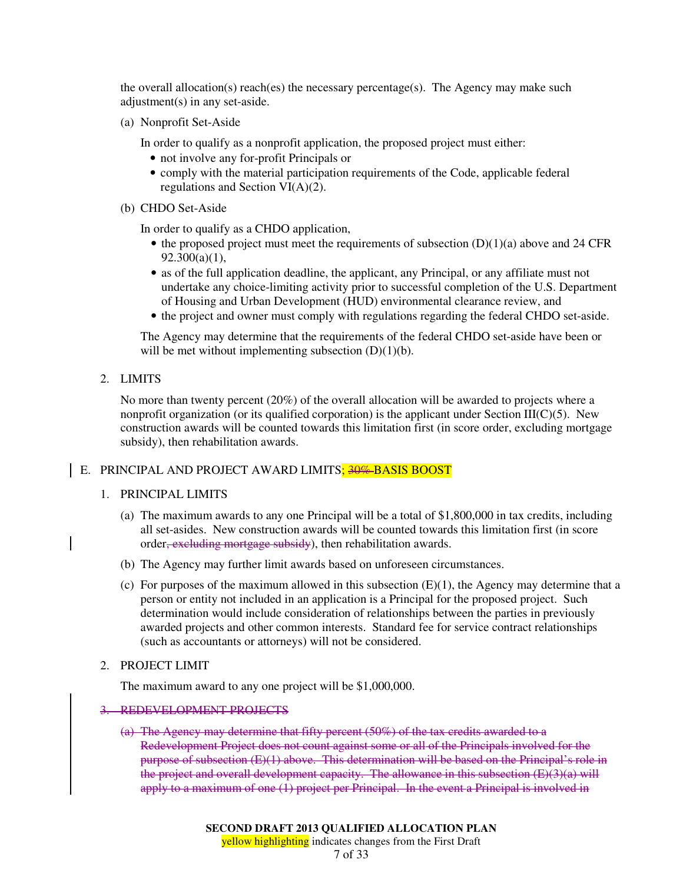the overall allocation(s) reach(es) the necessary percentage(s). The Agency may make such adjustment(s) in any set-aside.

(a) Nonprofit Set-Aside

In order to qualify as a nonprofit application, the proposed project must either:

- not involve any for-profit Principals or
- comply with the material participation requirements of the Code, applicable federal regulations and Section VI(A)(2).
- (b) CHDO Set-Aside

In order to qualify as a CHDO application,

- the proposed project must meet the requirements of subsection  $(D)(1)(a)$  above and 24 CFR  $92.300(a)(1),$
- as of the full application deadline, the applicant, any Principal, or any affiliate must not undertake any choice-limiting activity prior to successful completion of the U.S. Department of Housing and Urban Development (HUD) environmental clearance review, and
- the project and owner must comply with regulations regarding the federal CHDO set-aside.

The Agency may determine that the requirements of the federal CHDO set-aside have been or will be met without implementing subsection  $(D)(1)(b)$ .

2. LIMITS

No more than twenty percent (20%) of the overall allocation will be awarded to projects where a nonprofit organization (or its qualified corporation) is the applicant under Section III( $C(5)$ . New construction awards will be counted towards this limitation first (in score order, excluding mortgage subsidy), then rehabilitation awards.

## E. PRINCIPAL AND PROJECT AWARD LIMITS<mark>; 30%-BASIS BOOST</mark>

#### 1. PRINCIPAL LIMITS

- (a) The maximum awards to any one Principal will be a total of \$1,800,000 in tax credits, including all set-asides. New construction awards will be counted towards this limitation first (in score order, excluding mortgage subsidy), then rehabilitation awards.
- (b) The Agency may further limit awards based on unforeseen circumstances.
- (c) For purposes of the maximum allowed in this subsection  $(E)(1)$ , the Agency may determine that a person or entity not included in an application is a Principal for the proposed project. Such determination would include consideration of relationships between the parties in previously awarded projects and other common interests. Standard fee for service contract relationships (such as accountants or attorneys) will not be considered.
- 2. PROJECT LIMIT

The maximum award to any one project will be \$1,000,000.

# 3. REDEVELOPMENT PROJECTS

(a) The Agency may determine that fifty percent (50%) of the tax credits awarded to a Redevelopment Project does not count against some or all of the Principals involved for the purpose of subsection (E)(1) above. This determination will be based on the Principal's role in the project and overall development capacity. The allowance in this subsection  $(E)(3)(a)$  will apply to a maximum of one (1) project per Principal. In the event a Principal is involved in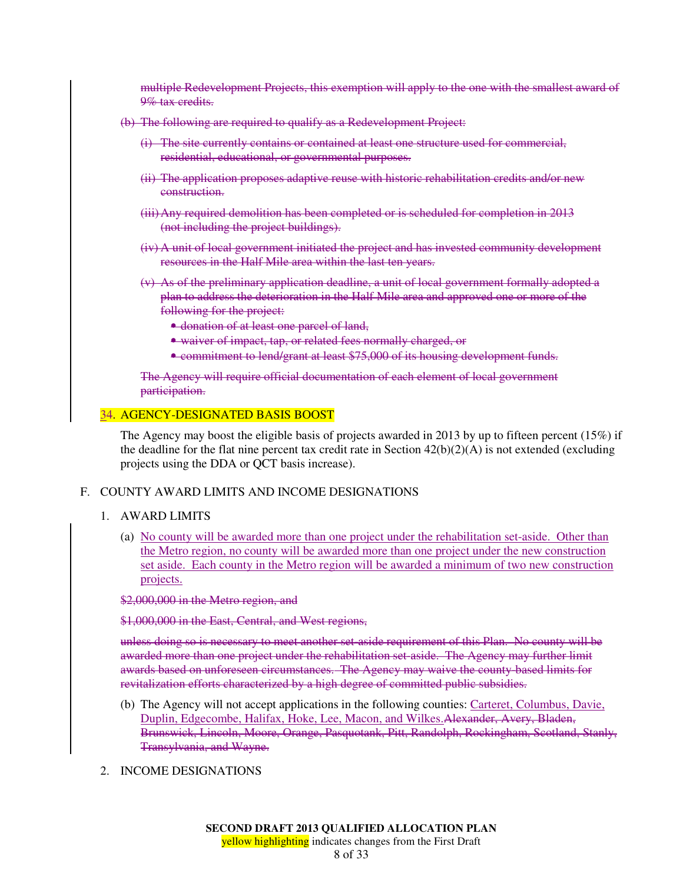multiple Redevelopment Projects, this exemption will apply to the one with the smallest award of 9% tax credits.

- (b) The following are required to qualify as a Redevelopment Project:
	- (i) The site currently contains or contained at least one structure used for commercial, residential, educational, or governmental purposes.
	- (ii) The application proposes adaptive reuse with historic rehabilitation credits and/or new construction.
	- (iii)Any required demolition has been completed or is scheduled for completion in 2013 (not including the project buildings).
	- (iv) A unit of local government initiated the project and has invested community development resources in the Half Mile area within the last ten years.
	- (v) As of the preliminary application deadline, a unit of local government formally adopted a plan to address the deterioration in the Half Mile area and approved one or more of the following for the project:
		- donation of at least one parcel of land,
		- waiver of impact, tap, or related fees normally charged, or
		- commitment to lend/grant at least \$75,000 of its housing development funds.

The Agency will require official documentation of each element of local government participation.

#### 34. AGENCY-DESIGNATED BASIS BOOST

The Agency may boost the eligible basis of projects awarded in 2013 by up to fifteen percent (15%) if the deadline for the flat nine percent tax credit rate in Section  $42(b)(2)(A)$  is not extended (excluding projects using the DDA or QCT basis increase).

#### F. COUNTY AWARD LIMITS AND INCOME DESIGNATIONS

#### 1. AWARD LIMITS

(a) No county will be awarded more than one project under the rehabilitation set-aside. Other than the Metro region, no county will be awarded more than one project under the new construction set aside. Each county in the Metro region will be awarded a minimum of two new construction projects.

#### \$2,000,000 in the Metro region, and

\$1,000,000 in the East, Central, and West regions,

unless doing so is necessary to meet another set-aside requirement of this Plan. No county will be awarded more than one project under the rehabilitation set-aside. The Agency may further limit awards based on unforeseen circumstances. The Agency may waive the county-based limits for revitalization efforts characterized by a high degree of committed public subsidies.

- (b) The Agency will not accept applications in the following counties: Carteret, Columbus, Davie, Duplin, Edgecombe, Halifax, Hoke, Lee, Macon, and Wilkes.Alexander, Avery, Bladen, Brunswick, Lincoln, Moore, Orange, Pasquotank, Pitt, Randolph, Rockingham, Scotland, Stanly, Transylvania, and Wayne.
- 2. INCOME DESIGNATIONS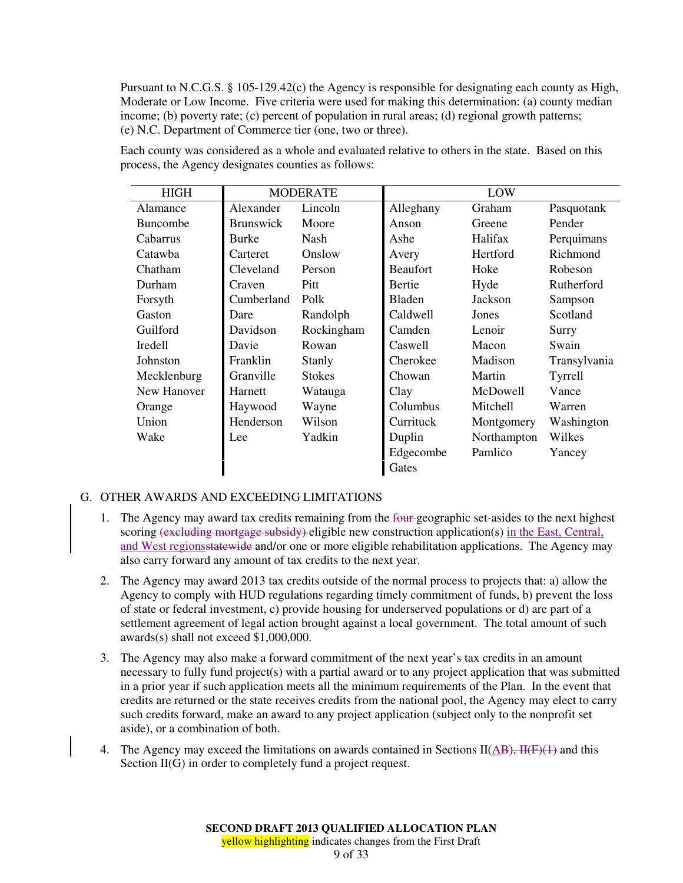Pursuant to N.C.G.S. § 105-129.42(c) the Agency is responsible for designating each county as High, Moderate or Low Income. Five criteria were used for making this determination: (a) county median income; (b) poverty rate; (c) percent of population in rural areas; (d) regional growth patterns; (e) N.C. Department of Commerce tier (one, two or three).

| <b>HIGH</b><br><b>MODERATE</b> |                  |               | LOW             |             |              |
|--------------------------------|------------------|---------------|-----------------|-------------|--------------|
| Alamance                       | Alexander        | Lincoln       | Alleghany       | Graham      | Pasquotank   |
| <b>Buncombe</b>                | <b>Brunswick</b> | Moore         | Anson           | Greene      | Pender       |
| Cabarrus                       | <b>Burke</b>     | Nash          | Ashe            | Halifax     | Perquimans   |
| Catawba                        | Carteret         | Onslow        | Avery           | Hertford    | Richmond     |
| Chatham                        | Cleveland        | Person        | <b>Beaufort</b> | Hoke        | Robeson      |
| Durham                         | Craven           | Pitt          | Bertie          | Hyde        | Rutherford   |
| Forsyth                        | Cumberland       | Polk          | <b>Bladen</b>   | Jackson     | Sampson      |
| Gaston                         | Dare             | Randolph      | Caldwell        | Jones       | Scotland     |
| Guilford                       | Davidson         | Rockingham    | Camden          | Lenoir      | Surry        |
| Iredell                        | Davie            | Rowan         | Caswell         | Macon       | Swain        |
| Johnston                       | Franklin         | Stanly        | Cherokee        | Madison     | Transylvania |
| Mecklenburg                    | Granville        | <b>Stokes</b> | Chowan          | Martin      | Tyrrell      |
| New Hanover                    | Harnett          | Watauga       | Clay            | McDowell    | Vance        |
| Orange                         | Haywood          | Wayne         | Columbus        | Mitchell    | Warren       |
| Union                          | Henderson        | Wilson        | Currituck       | Montgomery  | Washington   |
| Wake                           | Lee              | Yadkin        | Duplin          | Northampton | Wilkes       |
|                                |                  |               | Edgecombe       | Pamlico     | Yancey       |
|                                |                  |               | Gates           |             |              |

Each county was considered as a whole and evaluated relative to others in the state. Based on this process, the Agency designates counties as follows:

## G. OTHER AWARDS AND EXCEEDING LIMITATIONS

- 1. The Agency may award tax credits remaining from the four-geographic set-asides to the next highest scoring (excluding mortgage subsidy) eligible new construction application(s) in the East, Central, and West regionsstatewide and/or one or more eligible rehabilitation applications. The Agency may also carry forward any amount of tax credits to the next year.
- 2. The Agency may award 2013 tax credits outside of the normal process to projects that: a) allow the Agency to comply with HUD regulations regarding timely commitment of funds, b) prevent the loss of state or federal investment, c) provide housing for underserved populations or d) are part of a settlement agreement of legal action brought against a local government. The total amount of such awards(s) shall not exceed \$1,000,000.
- 3. The Agency may also make a forward commitment of the next year's tax credits in an amount necessary to fully fund project(s) with a partial award or to any project application that was submitted in a prior year if such application meets all the minimum requirements of the Plan. In the event that credits are returned or the state receives credits from the national pool, the Agency may elect to carry such credits forward, make an award to any project application (subject only to the nonprofit set aside), or a combination of both.
- 4. The Agency may exceed the limitations on awards contained in Sections  $II(\overline{AB})$ ,  $\overline{H(F)(1)}$  and this Section  $II(G)$  in order to completely fund a project request.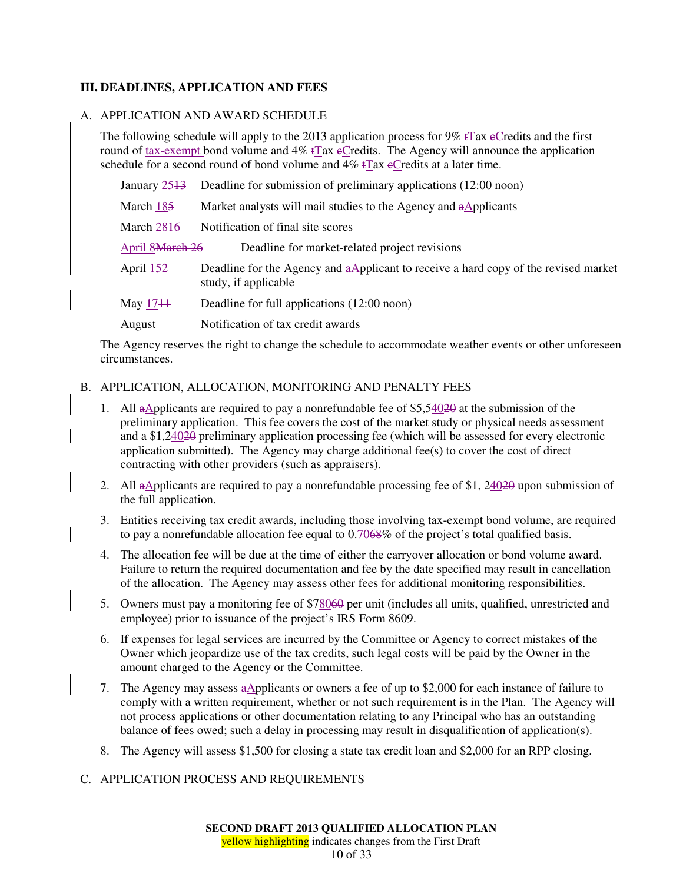# **III. DEADLINES, APPLICATION AND FEES**

## A. APPLICATION AND AWARD SCHEDULE

The following schedule will apply to the 2013 application process for  $9\%$  tTax eCredits and the first round of tax-exempt bond volume and  $4\%$  tTax eCredits. The Agency will announce the application schedule for a second round of bond volume and  $4\%$  tTax eCredits at a later time.

| January 2513           | Deadline for submission of preliminary applications (12:00 noon)                                            |
|------------------------|-------------------------------------------------------------------------------------------------------------|
| March 185              | Market analysts will mail studies to the Agency and aApplicants                                             |
| March 2846             | Notification of final site scores                                                                           |
| <b>April 8March 26</b> | Deadline for market-related project revisions                                                               |
| April 152              | Deadline for the Agency and aApplicant to receive a hard copy of the revised market<br>study, if applicable |
| May 1744               | Deadline for full applications (12:00 noon)                                                                 |
| August                 | Notification of tax credit awards                                                                           |

The Agency reserves the right to change the schedule to accommodate weather events or other unforeseen circumstances.

## B. APPLICATION, ALLOCATION, MONITORING AND PENALTY FEES

- 1. All aApplicants are required to pay a nonrefundable fee of \$5,54020 at the submission of the preliminary application. This fee covers the cost of the market study or physical needs assessment and a \$1,24020 preliminary application processing fee (which will be assessed for every electronic application submitted). The Agency may charge additional fee(s) to cover the cost of direct contracting with other providers (such as appraisers).
- 2. All aApplicants are required to pay a nonrefundable processing fee of \$1, 24020 upon submission of the full application.
- 3. Entities receiving tax credit awards, including those involving tax-exempt bond volume, are required to pay a nonrefundable allocation fee equal to 0.7068% of the project's total qualified basis.
- 4. The allocation fee will be due at the time of either the carryover allocation or bond volume award. Failure to return the required documentation and fee by the date specified may result in cancellation of the allocation. The Agency may assess other fees for additional monitoring responsibilities.
- 5. Owners must pay a monitoring fee of \$78060 per unit (includes all units, qualified, unrestricted and employee) prior to issuance of the project's IRS Form 8609.
- 6. If expenses for legal services are incurred by the Committee or Agency to correct mistakes of the Owner which jeopardize use of the tax credits, such legal costs will be paid by the Owner in the amount charged to the Agency or the Committee.
- 7. The Agency may assess aApplicants or owners a fee of up to \$2,000 for each instance of failure to comply with a written requirement, whether or not such requirement is in the Plan. The Agency will not process applications or other documentation relating to any Principal who has an outstanding balance of fees owed; such a delay in processing may result in disqualification of application(s).
- 8. The Agency will assess \$1,500 for closing a state tax credit loan and \$2,000 for an RPP closing.

## C. APPLICATION PROCESS AND REQUIREMENTS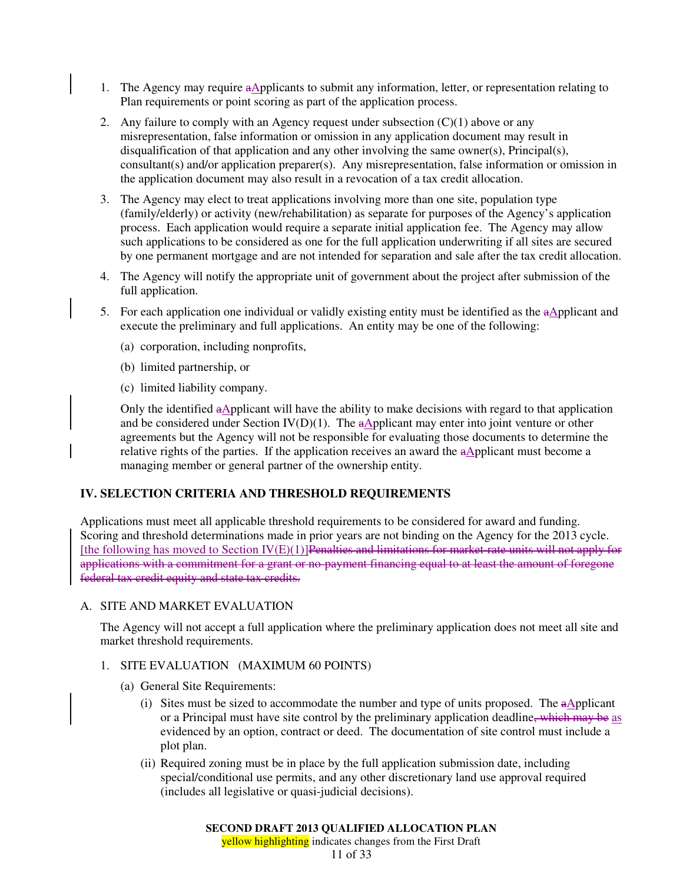- 1. The Agency may require aApplicants to submit any information, letter, or representation relating to Plan requirements or point scoring as part of the application process.
- 2. Any failure to comply with an Agency request under subsection  $(C)(1)$  above or any misrepresentation, false information or omission in any application document may result in disqualification of that application and any other involving the same owner(s), Principal(s), consultant(s) and/or application preparer(s). Any misrepresentation, false information or omission in the application document may also result in a revocation of a tax credit allocation.
- 3. The Agency may elect to treat applications involving more than one site, population type (family/elderly) or activity (new/rehabilitation) as separate for purposes of the Agency's application process. Each application would require a separate initial application fee. The Agency may allow such applications to be considered as one for the full application underwriting if all sites are secured by one permanent mortgage and are not intended for separation and sale after the tax credit allocation.
- 4. The Agency will notify the appropriate unit of government about the project after submission of the full application.
- 5. For each application one individual or validly existing entity must be identified as the aApplicant and execute the preliminary and full applications. An entity may be one of the following:
	- (a) corporation, including nonprofits,
	- (b) limited partnership, or
	- (c) limited liability company.

Only the identified aApplicant will have the ability to make decisions with regard to that application and be considered under Section IV(D)(1). The  $a\Delta$ pplicant may enter into joint venture or other agreements but the Agency will not be responsible for evaluating those documents to determine the relative rights of the parties. If the application receives an award the  $a\Delta$ pplicant must become a managing member or general partner of the ownership entity.

# **IV. SELECTION CRITERIA AND THRESHOLD REQUIREMENTS**

Applications must meet all applicable threshold requirements to be considered for award and funding. Scoring and threshold determinations made in prior years are not binding on the Agency for the 2013 cycle. [the following has moved to Section IV(E)(1)]Penalties and limitations for market-rate units will not apply for applications with a commitment for a grant or no-payment financing equal to at least the amount of foregone federal tax credit equity and state tax credits.

# A. SITE AND MARKET EVALUATION

The Agency will not accept a full application where the preliminary application does not meet all site and market threshold requirements.

## 1. SITE EVALUATION (MAXIMUM 60 POINTS)

- (a) General Site Requirements:
	- (i) Sites must be sized to accommodate the number and type of units proposed. The  $a\Delta$ pplicant or a Principal must have site control by the preliminary application deadline, which may be as evidenced by an option, contract or deed. The documentation of site control must include a plot plan.
	- (ii) Required zoning must be in place by the full application submission date, including special/conditional use permits, and any other discretionary land use approval required (includes all legislative or quasi-judicial decisions).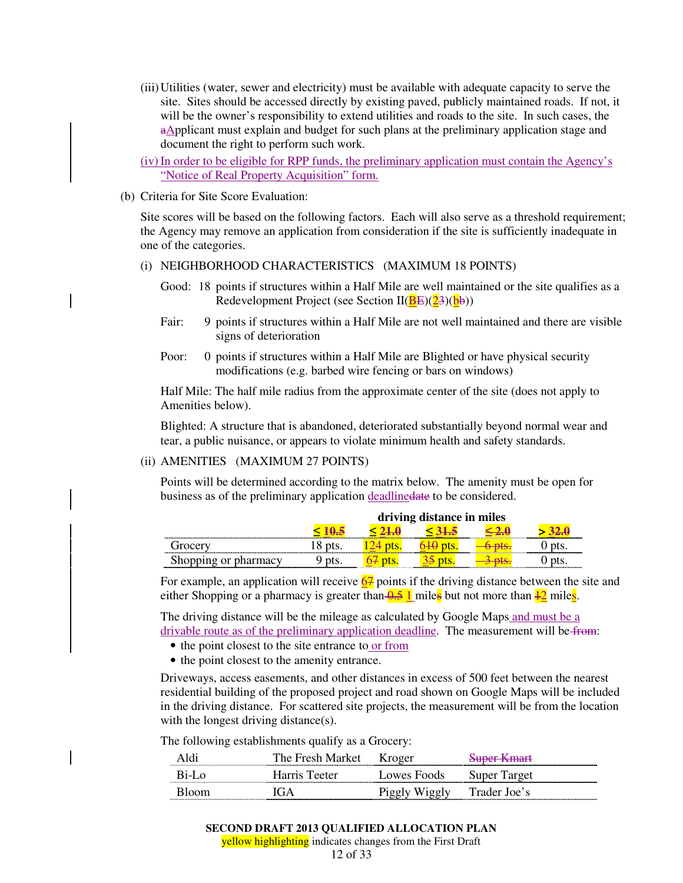- (iii) Utilities (water, sewer and electricity) must be available with adequate capacity to serve the site. Sites should be accessed directly by existing paved, publicly maintained roads. If not, it will be the owner's responsibility to extend utilities and roads to the site. In such cases, the aApplicant must explain and budget for such plans at the preliminary application stage and document the right to perform such work.
- (iv) In order to be eligible for RPP funds, the preliminary application must contain the Agency's "Notice of Real Property Acquisition" form.
- (b) Criteria for Site Score Evaluation:

Site scores will be based on the following factors. Each will also serve as a threshold requirement; the Agency may remove an application from consideration if the site is sufficiently inadequate in one of the categories.

- (i) NEIGHBORHOOD CHARACTERISTICS (MAXIMUM 18 POINTS)
	- Good: 18 points if structures within a Half Mile are well maintained or the site qualifies as a Redevelopment Project (see Section  $II(BE)(23)(b\bar{b}))$
	- Fair: 9 points if structures within a Half Mile are not well maintained and there are visible signs of deterioration
	- Poor: 0 points if structures within a Half Mile are Blighted or have physical security modifications (e.g. barbed wire fencing or bars on windows)

Half Mile: The half mile radius from the approximate center of the site (does not apply to Amenities below).

Blighted: A structure that is abandoned, deteriorated substantially beyond normal wear and tear, a public nuisance, or appears to violate minimum health and safety standards.

(ii) AMENITIES (MAXIMUM 27 POINTS)

Points will be determined according to the matrix below. The amenity must be open for business as of the preliminary application deadlinedate to be considered.

|                          | driving distance in miles |  |  |   |
|--------------------------|---------------------------|--|--|---|
|                          |                           |  |  |   |
| drocery<br>.             |                           |  |  | . |
| hopping or pharmacy<br>. |                           |  |  |   |

For example, an application will receive  $67$  points if the driving distance between the site and either Shopping or a pharmacy is greater than  $\frac{0.5}{1}$  miles but not more than  $\frac{1}{2}$  miles.

The driving distance will be the mileage as calculated by Google Maps and must be a drivable route as of the preliminary application deadline. The measurement will be from:

- the point closest to the site entrance to or from
- the point closest to the amenity entrance.

Driveways, access easements, and other distances in excess of 500 feet between the nearest residential building of the proposed project and road shown on Google Maps will be included in the driving distance. For scattered site projects, the measurement will be from the location with the longest driving distance(s).

The following establishments qualify as a Grocery:

| Aldı. | The Fresh Market   | Kroger      | Suner Kmart<br><del>ouver ixinan</del> |
|-------|--------------------|-------------|----------------------------------------|
| B1-L∩ | Harris '<br>Teeter | Lowes Foods | Super <sup>'</sup><br>Target           |
| Bloom | CίΑ                |             | Trader Joe's                           |

yellow highlighting indicates changes from the First Draft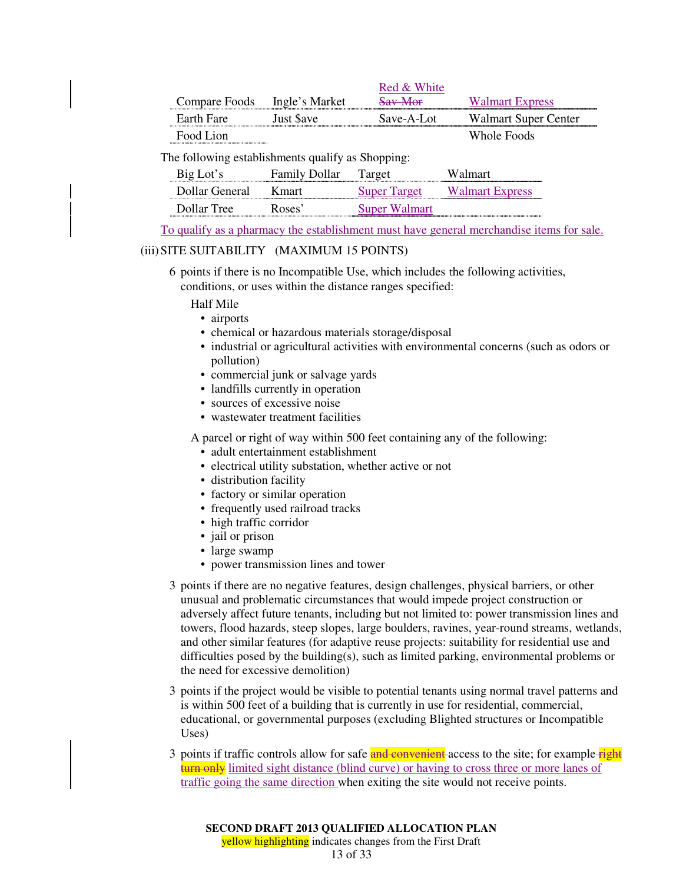|               |                | Red & White |                        |
|---------------|----------------|-------------|------------------------|
| Compare Foods | Ingle's Market | Sav-Mor     | <b>Walmart Express</b> |
| Earth Fare    | Just Save      | Save-A-Lot  | Walmart Super Center   |
| Food Lion     |                |             | Whole Foods            |

The following establishments qualify as Shopping:

| Big Lot's      | <b>Family Dollar</b> | Target        | Walmart                |
|----------------|----------------------|---------------|------------------------|
| Dollar General | K mart               | Super Target  | <b>Walmart Express</b> |
| Dollar Tree    | Roses <sup>2</sup>   | Super Walmart |                        |

To qualify as a pharmacy the establishment must have general merchandise items for sale.

# (iii) SITE SUITABILITY (MAXIMUM 15 POINTS)

6 points if there is no Incompatible Use, which includes the following activities,

conditions, or uses within the distance ranges specified:

Half Mile

- airports
- chemical or hazardous materials storage/disposal
- industrial or agricultural activities with environmental concerns (such as odors or pollution)
- commercial junk or salvage yards
- landfills currently in operation
- sources of excessive noise
- wastewater treatment facilities

A parcel or right of way within 500 feet containing any of the following:

- adult entertainment establishment
- electrical utility substation, whether active or not
- distribution facility
- factory or similar operation
- frequently used railroad tracks
- high traffic corridor
- jail or prison
- large swamp
- power transmission lines and tower
- 3 points if there are no negative features, design challenges, physical barriers, or other unusual and problematic circumstances that would impede project construction or adversely affect future tenants, including but not limited to: power transmission lines and towers, flood hazards, steep slopes, large boulders, ravines, year-round streams, wetlands, and other similar features (for adaptive reuse projects: suitability for residential use and difficulties posed by the building(s), such as limited parking, environmental problems or the need for excessive demolition)
- 3 points if the project would be visible to potential tenants using normal travel patterns and is within 500 feet of a building that is currently in use for residential, commercial, educational, or governmental purposes (excluding Blighted structures or Incompatible Uses)
- 3 points if traffic controls allow for safe and convenient access to the site; for example right turn only limited sight distance (blind curve) or having to cross three or more lanes of traffic going the same direction when exiting the site would not receive points.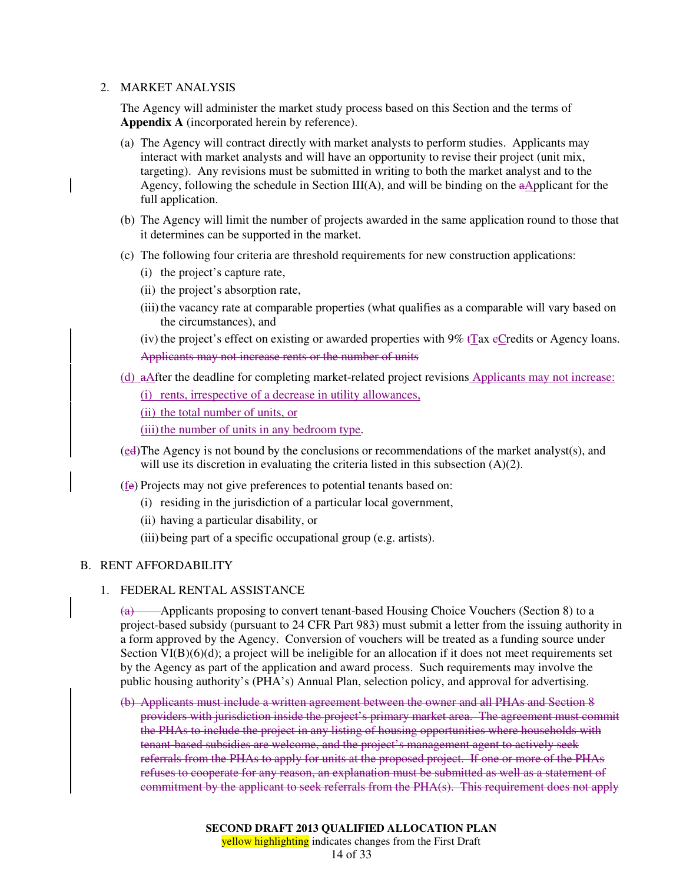### 2. MARKET ANALYSIS

The Agency will administer the market study process based on this Section and the terms of **Appendix A** (incorporated herein by reference).

- (a) The Agency will contract directly with market analysts to perform studies. Applicants may interact with market analysts and will have an opportunity to revise their project (unit mix, targeting). Any revisions must be submitted in writing to both the market analyst and to the Agency, following the schedule in Section  $III(A)$ , and will be binding on the aApplicant for the full application.
- (b) The Agency will limit the number of projects awarded in the same application round to those that it determines can be supported in the market.
- (c) The following four criteria are threshold requirements for new construction applications:
	- (i) the project's capture rate,
	- (ii) the project's absorption rate,
	- (iii) the vacancy rate at comparable properties (what qualifies as a comparable will vary based on the circumstances), and

(iv) the project's effect on existing or awarded properties with  $9\%$  tTax eCredits or Agency loans. Applicants may not increase rents or the number of units

(d) aAfter the deadline for completing market-related project revisions Applicants may not increase:

(i) rents, irrespective of a decrease in utility allowances,

(ii) the total number of units, or

(iii) the number of units in any bedroom type.

- (ed) The Agency is not bound by the conclusions or recommendations of the market analyst(s), and will use its discretion in evaluating the criteria listed in this subsection (A)(2).
- (fe) Projects may not give preferences to potential tenants based on:
	- (i) residing in the jurisdiction of a particular local government,
	- (ii) having a particular disability, or
	- (iii) being part of a specific occupational group (e.g. artists).

### B. RENT AFFORDABILITY

### 1. FEDERAL RENTAL ASSISTANCE

(a) Applicants proposing to convert tenant-based Housing Choice Vouchers (Section 8) to a project-based subsidy (pursuant to 24 CFR Part 983) must submit a letter from the issuing authority in a form approved by the Agency. Conversion of vouchers will be treated as a funding source under Section  $VI(B)(6)(d)$ ; a project will be ineligible for an allocation if it does not meet requirements set by the Agency as part of the application and award process. Such requirements may involve the public housing authority's (PHA's) Annual Plan, selection policy, and approval for advertising.

(b) Applicants must include a written agreement between the owner and all PHAs and Section 8 providers with jurisdiction inside the project's primary market area. The agreement must commit the PHAs to include the project in any listing of housing opportunities where households with tenant-based subsidies are welcome, and the project's management agent to actively seek referrals from the PHAs to apply for units at the proposed project. If one or more of the PHAs refuses to cooperate for any reason, an explanation must be submitted as well as a statement of commitment by the applicant to seek referrals from the PHA(s). This requirement does not apply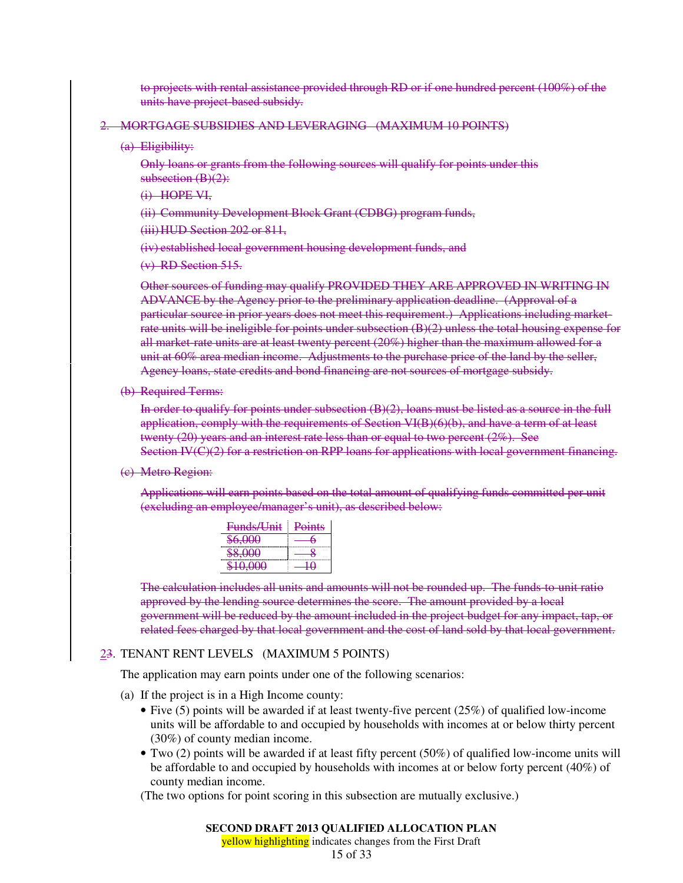to projects with rental assistance provided through RD or if one hundred percent (100%) of the units have project-based subsidy.

#### 2. MORTGAGE SUBSIDIES AND LEVERAGING (MAXIMUM 10 POINTS)

(a) Eligibility:

Only loans or grants from the following sources will qualify for points under this subsection (B)(2):

- (i) HOPE VI,
- (ii) Community Development Block Grant (CDBG) program funds,

(iii)HUD Section 202 or 811,

(iv) established local government housing development funds, and

(v) RD Section 515.

Other sources of funding may qualify PROVIDED THEY ARE APPROVED IN WRITING IN ADVANCE by the Agency prior to the preliminary application deadline. (Approval of a particular source in prior years does not meet this requirement.) Applications including marketrate units will be ineligible for points under subsection (B)(2) unless the total housing expense for all market-rate units are at least twenty percent (20%) higher than the maximum allowed for a unit at 60% area median income. Adjustments to the purchase price of the land by the seller, Agency loans, state credits and bond financing are not sources of mortgage subsidy.

(b) Required Terms:

In order to qualify for points under subsection (B)(2), loans must be listed as a source in the full application, comply with the requirements of Section VI(B)(6)(b), and have a term of at least twenty  $(20)$  years and an interest rate less than or equal to two percent  $(2\%)$ . See Section IV(C)(2) for a restriction on RPP loans for applications with local government financing.

(c) Metro Region:

Applications will earn points based on the total amount of qualifying funds committed per unit (excluding an employee/manager's unit), as described below:

| Funds/Unit                | <b>Points</b> |
|---------------------------|---------------|
| , UUU<br><del>J.UUU</del> |               |
| <del>.ww</del>            |               |
|                           |               |

The calculation includes all units and amounts will not be rounded up. The funds-to-unit ratio approved by the lending source determines the score. The amount provided by a local government will be reduced by the amount included in the project budget for any impact, tap, or related fees charged by that local government and the cost of land sold by that local government.

### 23. TENANT RENT LEVELS (MAXIMUM 5 POINTS)

The application may earn points under one of the following scenarios:

- (a) If the project is in a High Income county:
	- Five (5) points will be awarded if at least twenty-five percent (25%) of qualified low-income units will be affordable to and occupied by households with incomes at or below thirty percent (30%) of county median income.
	- Two (2) points will be awarded if at least fifty percent (50%) of qualified low-income units will be affordable to and occupied by households with incomes at or below forty percent (40%) of county median income.

(The two options for point scoring in this subsection are mutually exclusive.)

#### **SECOND DRAFT 2013 QUALIFIED ALLOCATION PLAN**

yellow highlighting indicates changes from the First Draft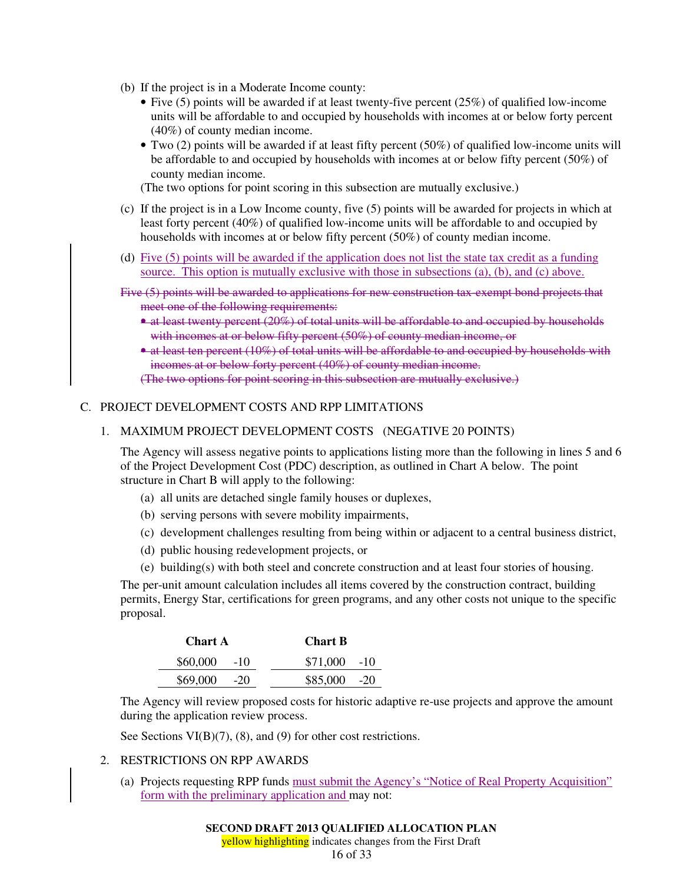- (b) If the project is in a Moderate Income county:
	- Five (5) points will be awarded if at least twenty-five percent  $(25%)$  of qualified low-income units will be affordable to and occupied by households with incomes at or below forty percent (40%) of county median income.
	- Two (2) points will be awarded if at least fifty percent (50%) of qualified low-income units will be affordable to and occupied by households with incomes at or below fifty percent (50%) of county median income.

(The two options for point scoring in this subsection are mutually exclusive.)

- (c) If the project is in a Low Income county, five (5) points will be awarded for projects in which at least forty percent (40%) of qualified low-income units will be affordable to and occupied by households with incomes at or below fifty percent (50%) of county median income.
- (d) Five (5) points will be awarded if the application does not list the state tax credit as a funding source. This option is mutually exclusive with those in subsections (a), (b), and (c) above.
- Five (5) points will be awarded to applications for new construction tax-exempt bond projects that meet one of the following requirements:
	- at least twenty percent (20%) of total units will be affordable to and occupied by households with incomes at or below fifty percent (50%) of county median income, or
	- at least ten percent (10%) of total units will be affordable to and occupied by households with incomes at or below forty percent (40%) of county median income.

(The two options for point scoring in this subsection are mutually exclusive.)

## C. PROJECT DEVELOPMENT COSTS AND RPP LIMITATIONS

### 1. MAXIMUM PROJECT DEVELOPMENT COSTS (NEGATIVE 20 POINTS)

The Agency will assess negative points to applications listing more than the following in lines 5 and 6 of the Project Development Cost (PDC) description, as outlined in Chart A below. The point structure in Chart B will apply to the following:

- (a) all units are detached single family houses or duplexes,
- (b) serving persons with severe mobility impairments,
- (c) development challenges resulting from being within or adjacent to a central business district,
- (d) public housing redevelopment projects, or

(e) building(s) with both steel and concrete construction and at least four stories of housing. The per-unit amount calculation includes all items covered by the construction contract, building permits, Energy Star, certifications for green programs, and any other costs not unique to the specific proposal.

| <b>Chart A</b> | <b>Chart B</b> |
|----------------|----------------|
| $$60,000$ -10  | $$71,000$ -10  |
| $$69,000$ -20  | $$85,000$ -20  |

The Agency will review proposed costs for historic adaptive re-use projects and approve the amount during the application review process.

See Sections VI(B)(7), (8), and (9) for other cost restrictions.

### 2. RESTRICTIONS ON RPP AWARDS

(a) Projects requesting RPP funds must submit the Agency's "Notice of Real Property Acquisition" form with the preliminary application and may not:

yellow highlighting indicates changes from the First Draft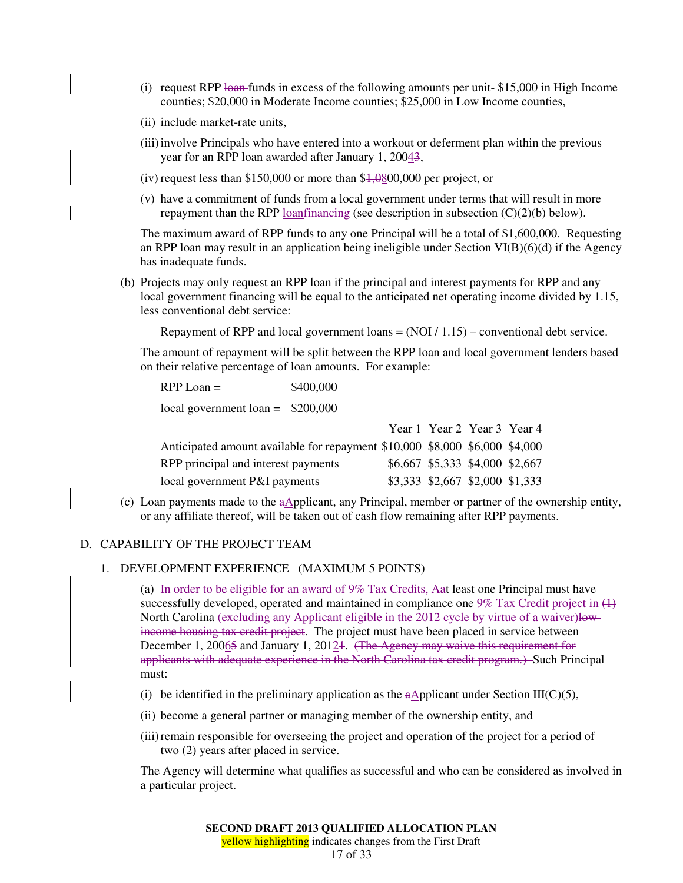- (i) request RPP  $\frac{1}{2}$  funds in excess of the following amounts per unit-\$15,000 in High Income counties; \$20,000 in Moderate Income counties; \$25,000 in Low Income counties,
- (ii) include market-rate units,
- (iii) involve Principals who have entered into a workout or deferment plan within the previous year for an RPP loan awarded after January 1, 20043,
- (iv) request less than \$150,000 or more than  $$1,0800,000$  per project, or
- (v) have a commitment of funds from a local government under terms that will result in more repayment than the RPP loan financing (see description in subsection  $(C)(2)(b)$  below).

The maximum award of RPP funds to any one Principal will be a total of \$1,600,000. Requesting an RPP loan may result in an application being ineligible under Section VI(B)(6)(d) if the Agency has inadequate funds.

(b) Projects may only request an RPP loan if the principal and interest payments for RPP and any local government financing will be equal to the anticipated net operating income divided by 1.15, less conventional debt service:

Repayment of RPP and local government loans  $= (NOI / 1.15)$  – conventional debt service.

The amount of repayment will be split between the RPP loan and local government lenders based on their relative percentage of loan amounts. For example:

| $RPP$ Loan $=$                     | \$400,000 |
|------------------------------------|-----------|
| local government loan = $$200,000$ |           |
|                                    |           |

|                                                                             | Year 1 Year 2 Year 3 Year 4     |  |
|-----------------------------------------------------------------------------|---------------------------------|--|
| Anticipated amount available for repayment \$10,000 \$8,000 \$6,000 \$4,000 |                                 |  |
| RPP principal and interest payments                                         | \$6,667 \$5,333 \$4,000 \$2,667 |  |
| local government P&I payments                                               | \$3,333 \$2,667 \$2,000 \$1,333 |  |

(c) Loan payments made to the  $a\Delta$ pplicant, any Principal, member or partner of the ownership entity, or any affiliate thereof, will be taken out of cash flow remaining after RPP payments.

#### D. CAPABILITY OF THE PROJECT TEAM

1. DEVELOPMENT EXPERIENCE (MAXIMUM 5 POINTS)

(a) In order to be eligible for an award of  $9\%$  Tax Credits, Aat least one Principal must have successfully developed, operated and maintained in compliance one  $9\%$  Tax Credit project in  $(1)$ North Carolina (excluding any Applicant eligible in the 2012 cycle by virtue of a waiver)lowincome housing tax credit project. The project must have been placed in service between December 1, 20065 and January 1, 2012<sub>1</sub>. (The Agency may waive this requirement for applicants with adequate experience in the North Carolina tax credit program.) Such Principal must:

- (i) be identified in the preliminary application as the a $\Delta$ pplicant under Section III(C)(5),
- (ii) become a general partner or managing member of the ownership entity, and
- (iii) remain responsible for overseeing the project and operation of the project for a period of two (2) years after placed in service.

The Agency will determine what qualifies as successful and who can be considered as involved in a particular project.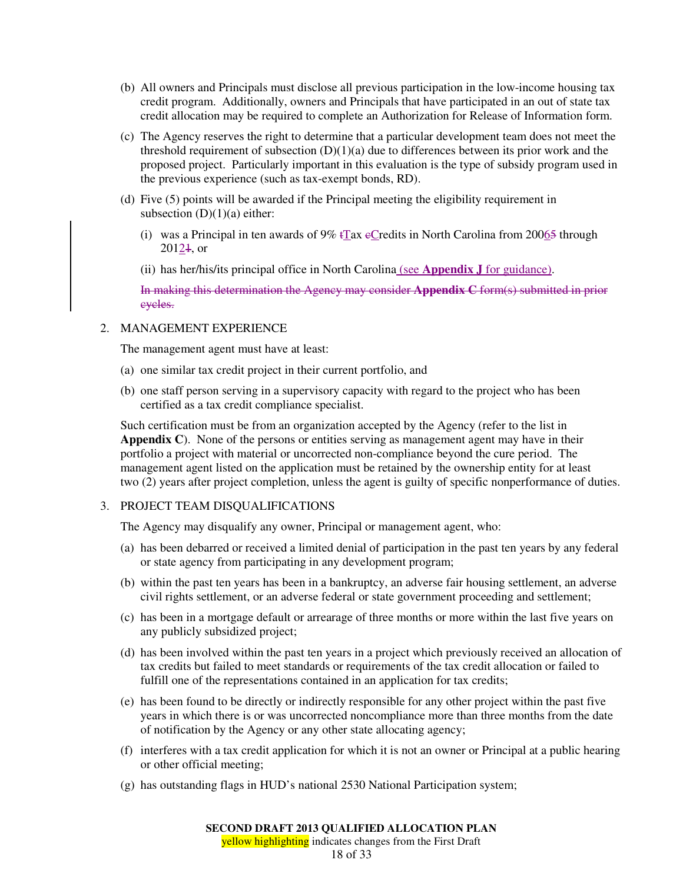- (b) All owners and Principals must disclose all previous participation in the low-income housing tax credit program. Additionally, owners and Principals that have participated in an out of state tax credit allocation may be required to complete an Authorization for Release of Information form.
- (c) The Agency reserves the right to determine that a particular development team does not meet the threshold requirement of subsection (D)(1)(a) due to differences between its prior work and the proposed project. Particularly important in this evaluation is the type of subsidy program used in the previous experience (such as tax-exempt bonds, RD).
- (d) Five (5) points will be awarded if the Principal meeting the eligibility requirement in subsection  $(D)(1)(a)$  either:
	- (i) was a Principal in ten awards of  $9\%$  tTax eCredits in North Carolina from 20065 through  $20124$ , or
	- (ii) has her/his/its principal office in North Carolina (see **Appendix J** for guidance).

In making this determination the Agency may consider **Appendix C** form(s) submitted in prior cycles.

## 2. MANAGEMENT EXPERIENCE

The management agent must have at least:

- (a) one similar tax credit project in their current portfolio, and
- (b) one staff person serving in a supervisory capacity with regard to the project who has been certified as a tax credit compliance specialist.

Such certification must be from an organization accepted by the Agency (refer to the list in **Appendix C**). None of the persons or entities serving as management agent may have in their portfolio a project with material or uncorrected non-compliance beyond the cure period. The management agent listed on the application must be retained by the ownership entity for at least two (2) years after project completion, unless the agent is guilty of specific nonperformance of duties.

## 3. PROJECT TEAM DISQUALIFICATIONS

The Agency may disqualify any owner, Principal or management agent, who:

- (a) has been debarred or received a limited denial of participation in the past ten years by any federal or state agency from participating in any development program;
- (b) within the past ten years has been in a bankruptcy, an adverse fair housing settlement, an adverse civil rights settlement, or an adverse federal or state government proceeding and settlement;
- (c) has been in a mortgage default or arrearage of three months or more within the last five years on any publicly subsidized project;
- (d) has been involved within the past ten years in a project which previously received an allocation of tax credits but failed to meet standards or requirements of the tax credit allocation or failed to fulfill one of the representations contained in an application for tax credits;
- (e) has been found to be directly or indirectly responsible for any other project within the past five years in which there is or was uncorrected noncompliance more than three months from the date of notification by the Agency or any other state allocating agency;
- (f) interferes with a tax credit application for which it is not an owner or Principal at a public hearing or other official meeting;
- (g) has outstanding flags in HUD's national 2530 National Participation system;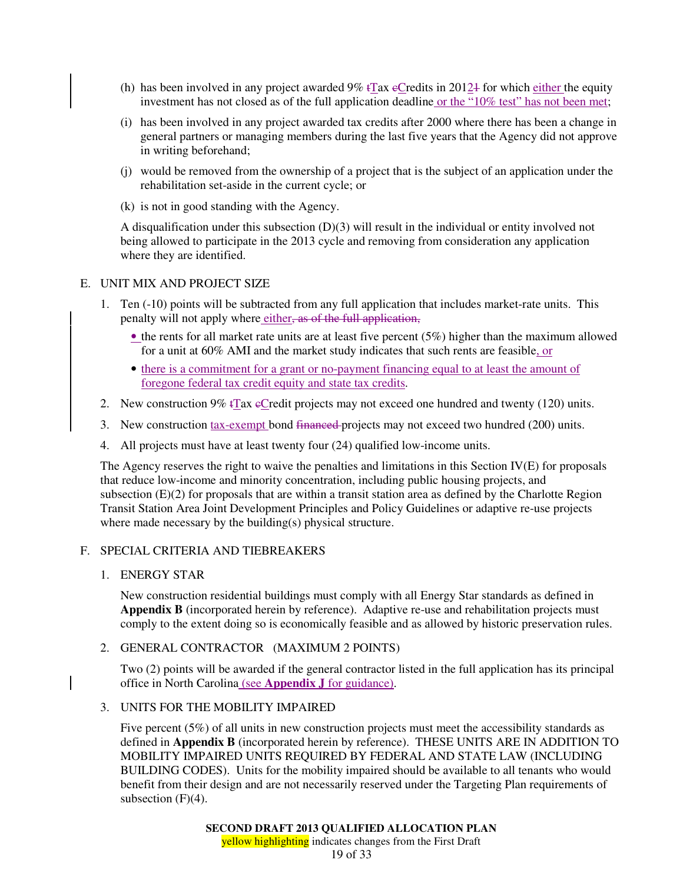- (h) has been involved in any project awarded  $9\%$  tTax eCredits in 2012+ for which either the equity investment has not closed as of the full application deadline or the "10% test" has not been met;
- (i) has been involved in any project awarded tax credits after 2000 where there has been a change in general partners or managing members during the last five years that the Agency did not approve in writing beforehand;
- (j) would be removed from the ownership of a project that is the subject of an application under the rehabilitation set-aside in the current cycle; or
- (k) is not in good standing with the Agency.

A disqualification under this subsection (D)(3) will result in the individual or entity involved not being allowed to participate in the 2013 cycle and removing from consideration any application where they are identified.

## E. UNIT MIX AND PROJECT SIZE

- 1. Ten (-10) points will be subtracted from any full application that includes market-rate units. This penalty will not apply where either, as of the full application,
	- $\bullet$  the rents for all market rate units are at least five percent (5%) higher than the maximum allowed for a unit at 60% AMI and the market study indicates that such rents are feasible, or
	- there is a commitment for a grant or no-payment financing equal to at least the amount of foregone federal tax credit equity and state tax credits.
- 2. New construction 9%  $\overline{\text{Tr}}$  ax  $\overline{\text{eC}}$  redit projects may not exceed one hundred and twenty (120) units.
- 3. New construction tax-exempt bond financed-projects may not exceed two hundred (200) units.
- 4. All projects must have at least twenty four (24) qualified low-income units.

The Agency reserves the right to waive the penalties and limitations in this Section IV(E) for proposals that reduce low-income and minority concentration, including public housing projects, and subsection (E)(2) for proposals that are within a transit station area as defined by the Charlotte Region Transit Station Area Joint Development Principles and Policy Guidelines or adaptive re-use projects where made necessary by the building(s) physical structure.

# F. SPECIAL CRITERIA AND TIEBREAKERS

1. ENERGY STAR

New construction residential buildings must comply with all Energy Star standards as defined in **Appendix B** (incorporated herein by reference). Adaptive re-use and rehabilitation projects must comply to the extent doing so is economically feasible and as allowed by historic preservation rules.

## 2. GENERAL CONTRACTOR (MAXIMUM 2 POINTS)

Two (2) points will be awarded if the general contractor listed in the full application has its principal office in North Carolina (see **Appendix J** for guidance).

# 3. UNITS FOR THE MOBILITY IMPAIRED

Five percent (5%) of all units in new construction projects must meet the accessibility standards as defined in **Appendix B** (incorporated herein by reference). THESE UNITS ARE IN ADDITION TO MOBILITY IMPAIRED UNITS REQUIRED BY FEDERAL AND STATE LAW (INCLUDING BUILDING CODES). Units for the mobility impaired should be available to all tenants who would benefit from their design and are not necessarily reserved under the Targeting Plan requirements of subsection  $(F)(4)$ .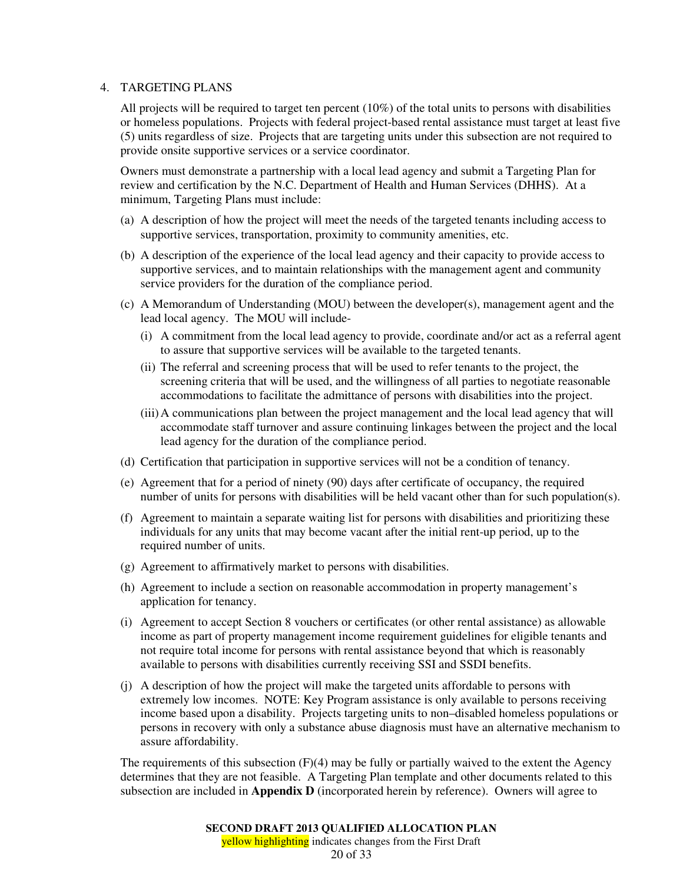### 4. TARGETING PLANS

All projects will be required to target ten percent (10%) of the total units to persons with disabilities or homeless populations. Projects with federal project-based rental assistance must target at least five (5) units regardless of size. Projects that are targeting units under this subsection are not required to provide onsite supportive services or a service coordinator.

Owners must demonstrate a partnership with a local lead agency and submit a Targeting Plan for review and certification by the N.C. Department of Health and Human Services (DHHS). At a minimum, Targeting Plans must include:

- (a) A description of how the project will meet the needs of the targeted tenants including access to supportive services, transportation, proximity to community amenities, etc.
- (b) A description of the experience of the local lead agency and their capacity to provide access to supportive services, and to maintain relationships with the management agent and community service providers for the duration of the compliance period.
- (c) A Memorandum of Understanding (MOU) between the developer(s), management agent and the lead local agency. The MOU will include-
	- (i) A commitment from the local lead agency to provide, coordinate and/or act as a referral agent to assure that supportive services will be available to the targeted tenants.
	- (ii) The referral and screening process that will be used to refer tenants to the project, the screening criteria that will be used, and the willingness of all parties to negotiate reasonable accommodations to facilitate the admittance of persons with disabilities into the project.
	- (iii) A communications plan between the project management and the local lead agency that will accommodate staff turnover and assure continuing linkages between the project and the local lead agency for the duration of the compliance period.
- (d) Certification that participation in supportive services will not be a condition of tenancy.
- (e) Agreement that for a period of ninety (90) days after certificate of occupancy, the required number of units for persons with disabilities will be held vacant other than for such population(s).
- (f) Agreement to maintain a separate waiting list for persons with disabilities and prioritizing these individuals for any units that may become vacant after the initial rent-up period, up to the required number of units.
- (g) Agreement to affirmatively market to persons with disabilities.
- (h) Agreement to include a section on reasonable accommodation in property management's application for tenancy.
- (i) Agreement to accept Section 8 vouchers or certificates (or other rental assistance) as allowable income as part of property management income requirement guidelines for eligible tenants and not require total income for persons with rental assistance beyond that which is reasonably available to persons with disabilities currently receiving SSI and SSDI benefits.
- (j) A description of how the project will make the targeted units affordable to persons with extremely low incomes. NOTE: Key Program assistance is only available to persons receiving income based upon a disability. Projects targeting units to non–disabled homeless populations or persons in recovery with only a substance abuse diagnosis must have an alternative mechanism to assure affordability.

The requirements of this subsection  $(F)(4)$  may be fully or partially waived to the extent the Agency determines that they are not feasible. A Targeting Plan template and other documents related to this subsection are included in **Appendix D** (incorporated herein by reference). Owners will agree to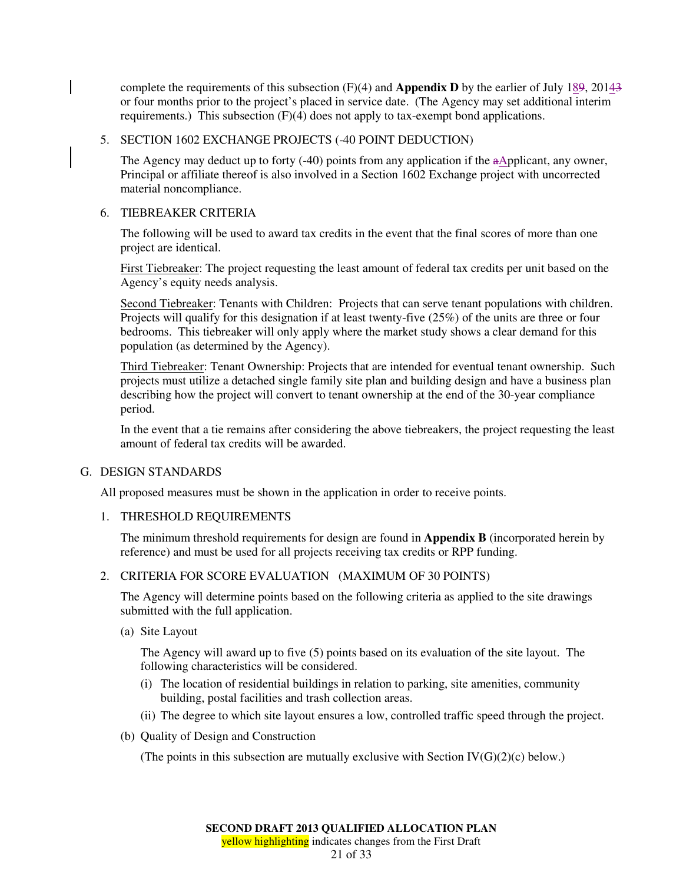complete the requirements of this subsection (F)(4) and **Appendix D** by the earlier of July 189, 20143 or four months prior to the project's placed in service date. (The Agency may set additional interim requirements.) This subsection (F)(4) does not apply to tax-exempt bond applications.

# 5. SECTION 1602 EXCHANGE PROJECTS (-40 POINT DEDUCTION)

The Agency may deduct up to forty (-40) points from any application if the aApplicant, any owner, Principal or affiliate thereof is also involved in a Section 1602 Exchange project with uncorrected material noncompliance.

### 6. TIEBREAKER CRITERIA

The following will be used to award tax credits in the event that the final scores of more than one project are identical.

First Tiebreaker: The project requesting the least amount of federal tax credits per unit based on the Agency's equity needs analysis.

Second Tiebreaker: Tenants with Children: Projects that can serve tenant populations with children. Projects will qualify for this designation if at least twenty-five (25%) of the units are three or four bedrooms. This tiebreaker will only apply where the market study shows a clear demand for this population (as determined by the Agency).

Third Tiebreaker: Tenant Ownership: Projects that are intended for eventual tenant ownership. Such projects must utilize a detached single family site plan and building design and have a business plan describing how the project will convert to tenant ownership at the end of the 30-year compliance period.

In the event that a tie remains after considering the above tiebreakers, the project requesting the least amount of federal tax credits will be awarded.

## G. DESIGN STANDARDS

All proposed measures must be shown in the application in order to receive points.

#### 1. THRESHOLD REQUIREMENTS

The minimum threshold requirements for design are found in **Appendix B** (incorporated herein by reference) and must be used for all projects receiving tax credits or RPP funding.

#### 2. CRITERIA FOR SCORE EVALUATION (MAXIMUM OF 30 POINTS)

The Agency will determine points based on the following criteria as applied to the site drawings submitted with the full application.

(a) Site Layout

The Agency will award up to five (5) points based on its evaluation of the site layout. The following characteristics will be considered.

- (i) The location of residential buildings in relation to parking, site amenities, community building, postal facilities and trash collection areas.
- (ii) The degree to which site layout ensures a low, controlled traffic speed through the project.
- (b) Quality of Design and Construction

(The points in this subsection are mutually exclusive with Section  $IV(G)(2)(c)$  below.)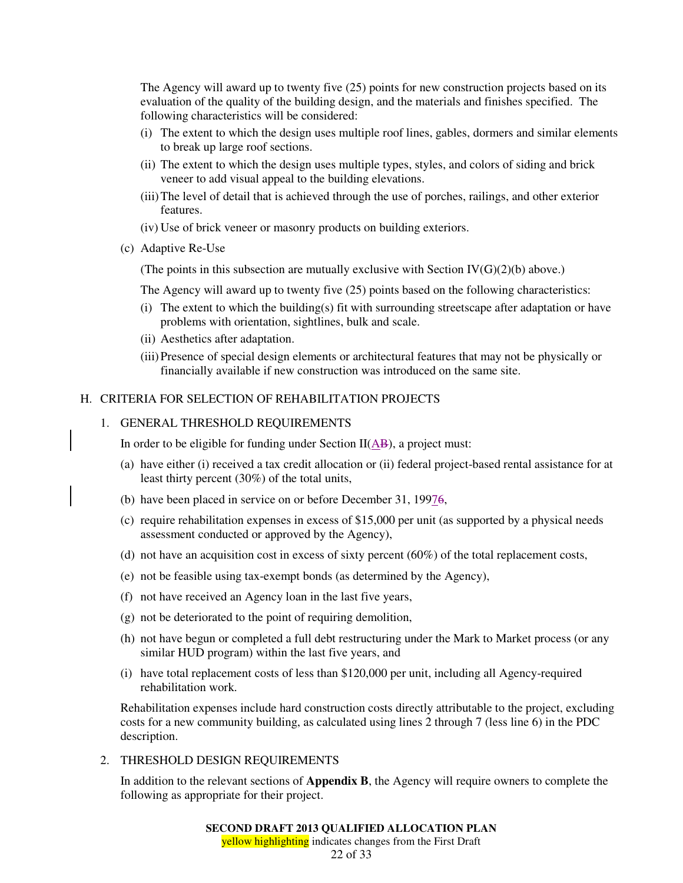The Agency will award up to twenty five (25) points for new construction projects based on its evaluation of the quality of the building design, and the materials and finishes specified. The following characteristics will be considered:

- (i) The extent to which the design uses multiple roof lines, gables, dormers and similar elements to break up large roof sections.
- (ii) The extent to which the design uses multiple types, styles, and colors of siding and brick veneer to add visual appeal to the building elevations.
- (iii) The level of detail that is achieved through the use of porches, railings, and other exterior features.
- (iv) Use of brick veneer or masonry products on building exteriors.
- (c) Adaptive Re-Use

(The points in this subsection are mutually exclusive with Section  $IV(G)(2)(b)$  above.)

The Agency will award up to twenty five (25) points based on the following characteristics:

- (i) The extent to which the building(s) fit with surrounding streetscape after adaptation or have problems with orientation, sightlines, bulk and scale.
- (ii) Aesthetics after adaptation.
- (iii) Presence of special design elements or architectural features that may not be physically or financially available if new construction was introduced on the same site.

## H. CRITERIA FOR SELECTION OF REHABILITATION PROJECTS

### 1. GENERAL THRESHOLD REQUIREMENTS

In order to be eligible for funding under Section  $II(AB)$ , a project must:

- (a) have either (i) received a tax credit allocation or (ii) federal project-based rental assistance for at least thirty percent (30%) of the total units,
- (b) have been placed in service on or before December 31, 19976,
- (c) require rehabilitation expenses in excess of \$15,000 per unit (as supported by a physical needs assessment conducted or approved by the Agency),
- (d) not have an acquisition cost in excess of sixty percent  $(60\%)$  of the total replacement costs,
- (e) not be feasible using tax-exempt bonds (as determined by the Agency),
- (f) not have received an Agency loan in the last five years,
- (g) not be deteriorated to the point of requiring demolition,
- (h) not have begun or completed a full debt restructuring under the Mark to Market process (or any similar HUD program) within the last five years, and
- (i) have total replacement costs of less than \$120,000 per unit, including all Agency-required rehabilitation work.

Rehabilitation expenses include hard construction costs directly attributable to the project, excluding costs for a new community building, as calculated using lines 2 through 7 (less line 6) in the PDC description.

2. THRESHOLD DESIGN REQUIREMENTS

In addition to the relevant sections of **Appendix B**, the Agency will require owners to complete the following as appropriate for their project.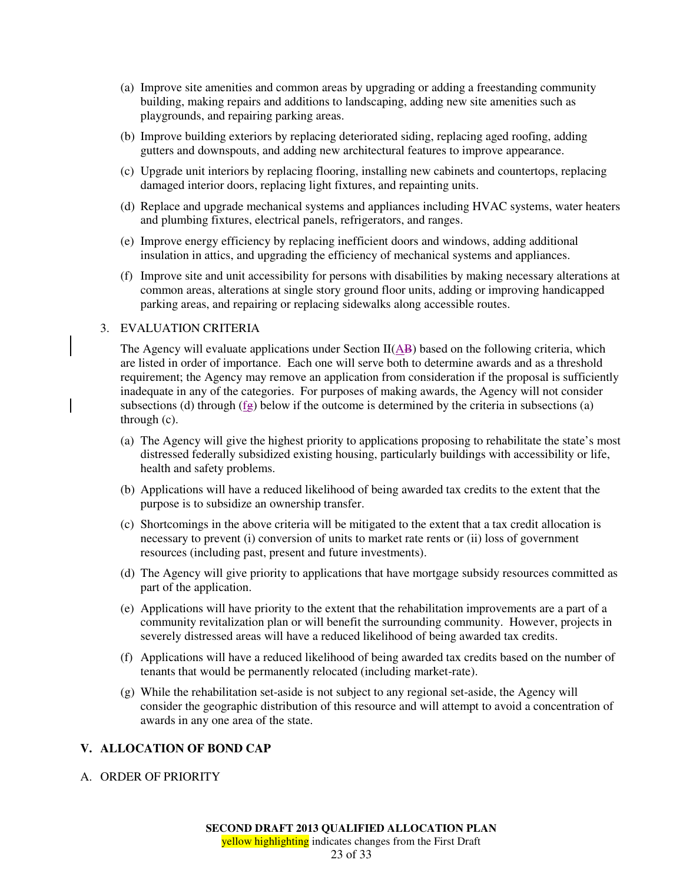- (a) Improve site amenities and common areas by upgrading or adding a freestanding community building, making repairs and additions to landscaping, adding new site amenities such as playgrounds, and repairing parking areas.
- (b) Improve building exteriors by replacing deteriorated siding, replacing aged roofing, adding gutters and downspouts, and adding new architectural features to improve appearance.
- (c) Upgrade unit interiors by replacing flooring, installing new cabinets and countertops, replacing damaged interior doors, replacing light fixtures, and repainting units.
- (d) Replace and upgrade mechanical systems and appliances including HVAC systems, water heaters and plumbing fixtures, electrical panels, refrigerators, and ranges.
- (e) Improve energy efficiency by replacing inefficient doors and windows, adding additional insulation in attics, and upgrading the efficiency of mechanical systems and appliances.
- (f) Improve site and unit accessibility for persons with disabilities by making necessary alterations at common areas, alterations at single story ground floor units, adding or improving handicapped parking areas, and repairing or replacing sidewalks along accessible routes.

### 3. EVALUATION CRITERIA

The Agency will evaluate applications under Section  $II(\overline{AB})$  based on the following criteria, which are listed in order of importance. Each one will serve both to determine awards and as a threshold requirement; the Agency may remove an application from consideration if the proposal is sufficiently inadequate in any of the categories. For purposes of making awards, the Agency will not consider subsections (d) through  $(fg)$  below if the outcome is determined by the criteria in subsections (a) through (c).

- (a) The Agency will give the highest priority to applications proposing to rehabilitate the state's most distressed federally subsidized existing housing, particularly buildings with accessibility or life, health and safety problems.
- (b) Applications will have a reduced likelihood of being awarded tax credits to the extent that the purpose is to subsidize an ownership transfer.
- (c) Shortcomings in the above criteria will be mitigated to the extent that a tax credit allocation is necessary to prevent (i) conversion of units to market rate rents or (ii) loss of government resources (including past, present and future investments).
- (d) The Agency will give priority to applications that have mortgage subsidy resources committed as part of the application.
- (e) Applications will have priority to the extent that the rehabilitation improvements are a part of a community revitalization plan or will benefit the surrounding community. However, projects in severely distressed areas will have a reduced likelihood of being awarded tax credits.
- (f) Applications will have a reduced likelihood of being awarded tax credits based on the number of tenants that would be permanently relocated (including market-rate).
- (g) While the rehabilitation set-aside is not subject to any regional set-aside, the Agency will consider the geographic distribution of this resource and will attempt to avoid a concentration of awards in any one area of the state.

## **V. ALLOCATION OF BOND CAP**

#### A. ORDER OF PRIORITY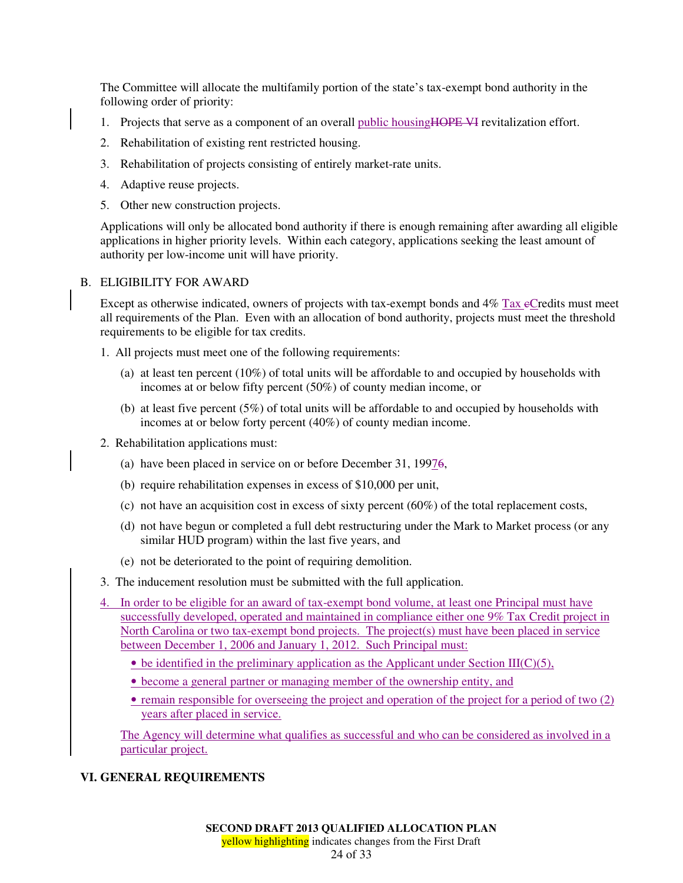The Committee will allocate the multifamily portion of the state's tax-exempt bond authority in the following order of priority:

- 1. Projects that serve as a component of an overall public housing HOPE VI revitalization effort.
- 2. Rehabilitation of existing rent restricted housing.
- 3. Rehabilitation of projects consisting of entirely market-rate units.
- 4. Adaptive reuse projects.
- 5. Other new construction projects.

Applications will only be allocated bond authority if there is enough remaining after awarding all eligible applications in higher priority levels. Within each category, applications seeking the least amount of authority per low-income unit will have priority.

## B. ELIGIBILITY FOR AWARD

Except as otherwise indicated, owners of projects with tax-exempt bonds and  $4\%$  Tax e $C$  redits must meet all requirements of the Plan. Even with an allocation of bond authority, projects must meet the threshold requirements to be eligible for tax credits.

- 1. All projects must meet one of the following requirements:
	- (a) at least ten percent (10%) of total units will be affordable to and occupied by households with incomes at or below fifty percent (50%) of county median income, or
	- (b) at least five percent (5%) of total units will be affordable to and occupied by households with incomes at or below forty percent (40%) of county median income.
- 2. Rehabilitation applications must:
	- (a) have been placed in service on or before December 31, 19976,
	- (b) require rehabilitation expenses in excess of \$10,000 per unit,
	- (c) not have an acquisition cost in excess of sixty percent  $(60\%)$  of the total replacement costs,
	- (d) not have begun or completed a full debt restructuring under the Mark to Market process (or any similar HUD program) within the last five years, and
	- (e) not be deteriorated to the point of requiring demolition.
- 3. The inducement resolution must be submitted with the full application.
- In order to be eligible for an award of tax-exempt bond volume, at least one Principal must have successfully developed, operated and maintained in compliance either one 9% Tax Credit project in North Carolina or two tax-exempt bond projects. The project(s) must have been placed in service between December 1, 2006 and January 1, 2012. Such Principal must:
	- be identified in the preliminary application as the Applicant under Section  $III(C)(5)$ ,
	- become a general partner or managing member of the ownership entity, and
	- remain responsible for overseeing the project and operation of the project for a period of two (2) years after placed in service.

The Agency will determine what qualifies as successful and who can be considered as involved in a particular project.

## **VI. GENERAL REQUIREMENTS**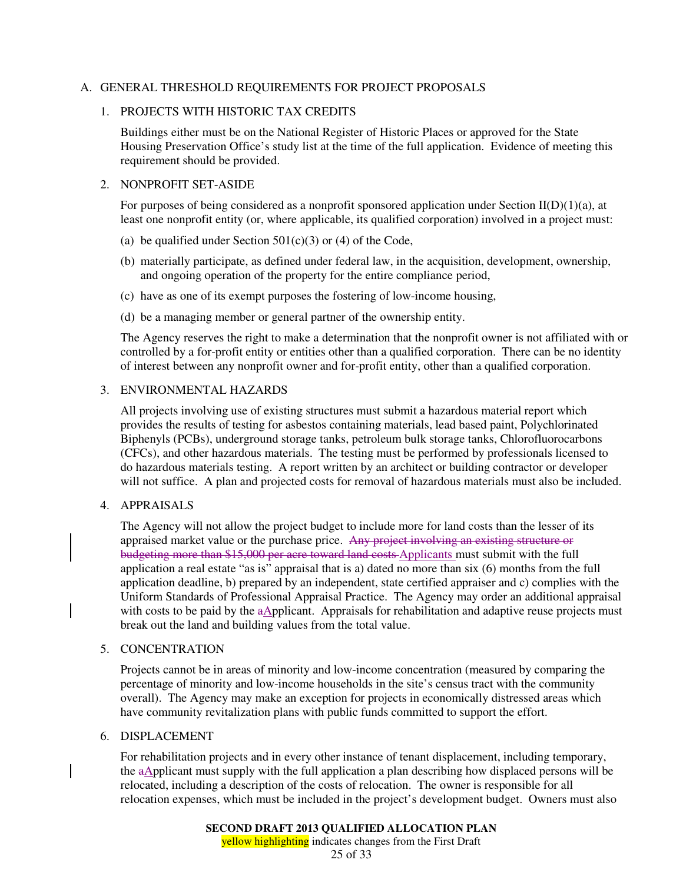### A. GENERAL THRESHOLD REQUIREMENTS FOR PROJECT PROPOSALS

### 1. PROJECTS WITH HISTORIC TAX CREDITS

Buildings either must be on the National Register of Historic Places or approved for the State Housing Preservation Office's study list at the time of the full application. Evidence of meeting this requirement should be provided.

### 2. NONPROFIT SET-ASIDE

For purposes of being considered as a nonprofit sponsored application under Section  $II(D)(1)(a)$ , at least one nonprofit entity (or, where applicable, its qualified corporation) involved in a project must:

- (a) be qualified under Section  $501(c)(3)$  or (4) of the Code,
- (b) materially participate, as defined under federal law, in the acquisition, development, ownership, and ongoing operation of the property for the entire compliance period,
- (c) have as one of its exempt purposes the fostering of low-income housing,
- (d) be a managing member or general partner of the ownership entity.

The Agency reserves the right to make a determination that the nonprofit owner is not affiliated with or controlled by a for-profit entity or entities other than a qualified corporation. There can be no identity of interest between any nonprofit owner and for-profit entity, other than a qualified corporation.

## 3. ENVIRONMENTAL HAZARDS

All projects involving use of existing structures must submit a hazardous material report which provides the results of testing for asbestos containing materials, lead based paint, Polychlorinated Biphenyls (PCBs), underground storage tanks, petroleum bulk storage tanks, Chlorofluorocarbons (CFCs), and other hazardous materials. The testing must be performed by professionals licensed to do hazardous materials testing. A report written by an architect or building contractor or developer will not suffice. A plan and projected costs for removal of hazardous materials must also be included.

## 4. APPRAISALS

The Agency will not allow the project budget to include more for land costs than the lesser of its appraised market value or the purchase price. Any project involving an existing structure or budgeting more than \$15,000 per acre toward land costs Applicants must submit with the full application a real estate "as is" appraisal that is a) dated no more than six (6) months from the full application deadline, b) prepared by an independent, state certified appraiser and c) complies with the Uniform Standards of Professional Appraisal Practice. The Agency may order an additional appraisal with costs to be paid by the aApplicant. Appraisals for rehabilitation and adaptive reuse projects must break out the land and building values from the total value.

#### 5. CONCENTRATION

Projects cannot be in areas of minority and low-income concentration (measured by comparing the percentage of minority and low-income households in the site's census tract with the community overall). The Agency may make an exception for projects in economically distressed areas which have community revitalization plans with public funds committed to support the effort.

# 6. DISPLACEMENT

For rehabilitation projects and in every other instance of tenant displacement, including temporary, the  $a\Delta$ pplicant must supply with the full application a plan describing how displaced persons will be relocated, including a description of the costs of relocation. The owner is responsible for all relocation expenses, which must be included in the project's development budget. Owners must also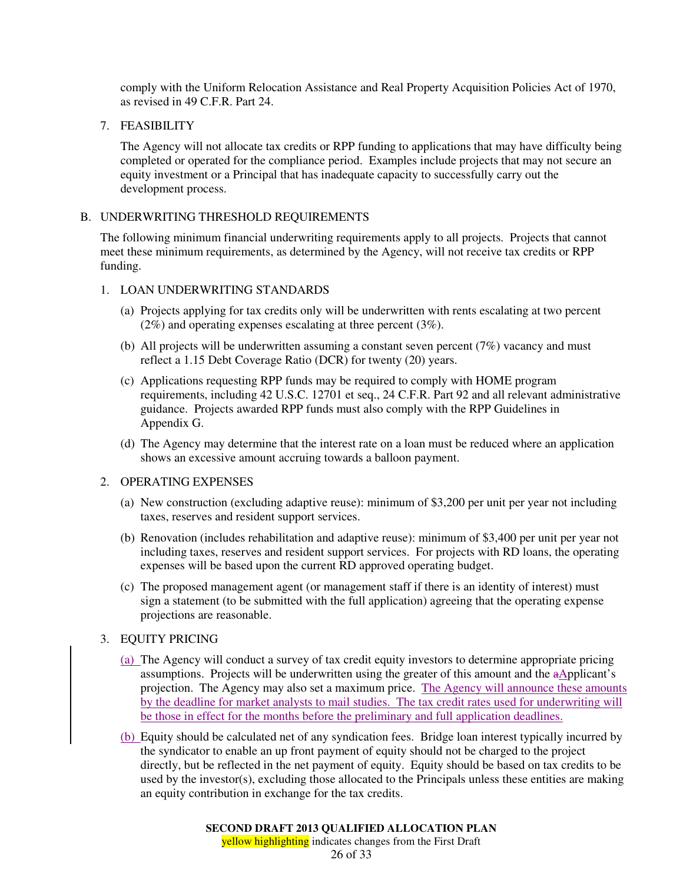comply with the Uniform Relocation Assistance and Real Property Acquisition Policies Act of 1970, as revised in 49 C.F.R. Part 24.

7. FEASIBILITY

The Agency will not allocate tax credits or RPP funding to applications that may have difficulty being completed or operated for the compliance period. Examples include projects that may not secure an equity investment or a Principal that has inadequate capacity to successfully carry out the development process.

### B. UNDERWRITING THRESHOLD REQUIREMENTS

The following minimum financial underwriting requirements apply to all projects. Projects that cannot meet these minimum requirements, as determined by the Agency, will not receive tax credits or RPP funding.

### 1. LOAN UNDERWRITING STANDARDS

- (a) Projects applying for tax credits only will be underwritten with rents escalating at two percent (2%) and operating expenses escalating at three percent (3%).
- (b) All projects will be underwritten assuming a constant seven percent (7%) vacancy and must reflect a 1.15 Debt Coverage Ratio (DCR) for twenty (20) years.
- (c) Applications requesting RPP funds may be required to comply with HOME program requirements, including 42 U.S.C. 12701 et seq., 24 C.F.R. Part 92 and all relevant administrative guidance. Projects awarded RPP funds must also comply with the RPP Guidelines in Appendix G.
- (d) The Agency may determine that the interest rate on a loan must be reduced where an application shows an excessive amount accruing towards a balloon payment.

### 2. OPERATING EXPENSES

- (a) New construction (excluding adaptive reuse): minimum of \$3,200 per unit per year not including taxes, reserves and resident support services.
- (b) Renovation (includes rehabilitation and adaptive reuse): minimum of \$3,400 per unit per year not including taxes, reserves and resident support services. For projects with RD loans, the operating expenses will be based upon the current RD approved operating budget.
- (c) The proposed management agent (or management staff if there is an identity of interest) must sign a statement (to be submitted with the full application) agreeing that the operating expense projections are reasonable.

## 3. EQUITY PRICING

- (a) The Agency will conduct a survey of tax credit equity investors to determine appropriate pricing assumptions. Projects will be underwritten using the greater of this amount and the  $a\Delta$ pplicant's projection. The Agency may also set a maximum price. The Agency will announce these amounts by the deadline for market analysts to mail studies. The tax credit rates used for underwriting will be those in effect for the months before the preliminary and full application deadlines.
- (b) Equity should be calculated net of any syndication fees. Bridge loan interest typically incurred by the syndicator to enable an up front payment of equity should not be charged to the project directly, but be reflected in the net payment of equity. Equity should be based on tax credits to be used by the investor(s), excluding those allocated to the Principals unless these entities are making an equity contribution in exchange for the tax credits.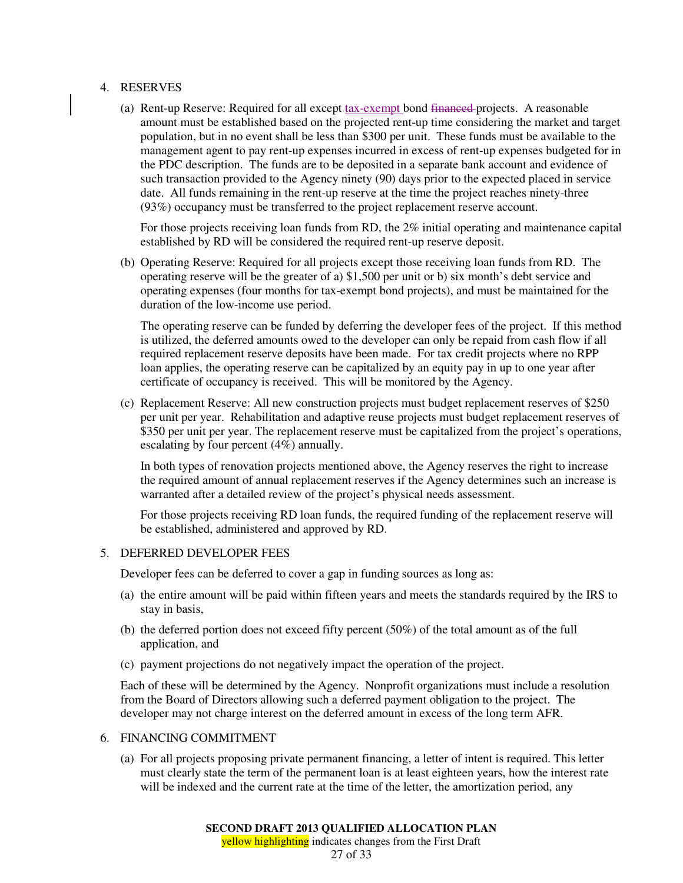### 4. RESERVES

(a) Rent-up Reserve: Required for all except tax-exempt bond financed projects. A reasonable amount must be established based on the projected rent-up time considering the market and target population, but in no event shall be less than \$300 per unit. These funds must be available to the management agent to pay rent-up expenses incurred in excess of rent-up expenses budgeted for in the PDC description. The funds are to be deposited in a separate bank account and evidence of such transaction provided to the Agency ninety (90) days prior to the expected placed in service date. All funds remaining in the rent-up reserve at the time the project reaches ninety-three (93%) occupancy must be transferred to the project replacement reserve account.

For those projects receiving loan funds from RD, the 2% initial operating and maintenance capital established by RD will be considered the required rent-up reserve deposit.

(b) Operating Reserve: Required for all projects except those receiving loan funds from RD. The operating reserve will be the greater of a) \$1,500 per unit or b) six month's debt service and operating expenses (four months for tax-exempt bond projects), and must be maintained for the duration of the low-income use period.

The operating reserve can be funded by deferring the developer fees of the project. If this method is utilized, the deferred amounts owed to the developer can only be repaid from cash flow if all required replacement reserve deposits have been made. For tax credit projects where no RPP loan applies, the operating reserve can be capitalized by an equity pay in up to one year after certificate of occupancy is received. This will be monitored by the Agency.

(c) Replacement Reserve: All new construction projects must budget replacement reserves of \$250 per unit per year. Rehabilitation and adaptive reuse projects must budget replacement reserves of \$350 per unit per year. The replacement reserve must be capitalized from the project's operations, escalating by four percent (4%) annually.

In both types of renovation projects mentioned above, the Agency reserves the right to increase the required amount of annual replacement reserves if the Agency determines such an increase is warranted after a detailed review of the project's physical needs assessment.

For those projects receiving RD loan funds, the required funding of the replacement reserve will be established, administered and approved by RD.

#### 5. DEFERRED DEVELOPER FEES

Developer fees can be deferred to cover a gap in funding sources as long as:

- (a) the entire amount will be paid within fifteen years and meets the standards required by the IRS to stay in basis,
- (b) the deferred portion does not exceed fifty percent (50%) of the total amount as of the full application, and
- (c) payment projections do not negatively impact the operation of the project.

Each of these will be determined by the Agency. Nonprofit organizations must include a resolution from the Board of Directors allowing such a deferred payment obligation to the project. The developer may not charge interest on the deferred amount in excess of the long term AFR.

### 6. FINANCING COMMITMENT

(a) For all projects proposing private permanent financing, a letter of intent is required. This letter must clearly state the term of the permanent loan is at least eighteen years, how the interest rate will be indexed and the current rate at the time of the letter, the amortization period, any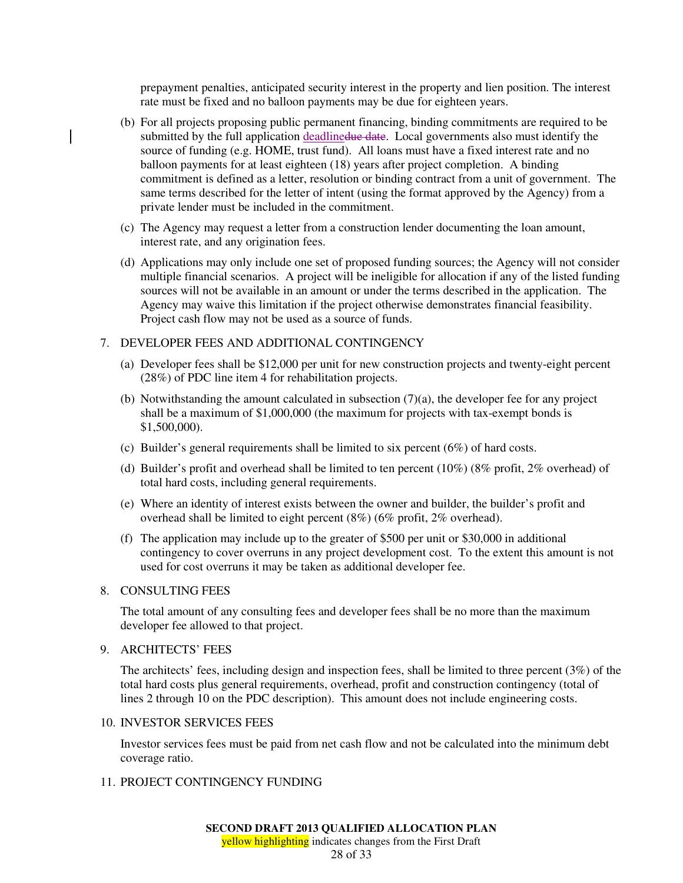prepayment penalties, anticipated security interest in the property and lien position. The interest rate must be fixed and no balloon payments may be due for eighteen years.

- (b) For all projects proposing public permanent financing, binding commitments are required to be submitted by the full application deadlinedue date. Local governments also must identify the source of funding (e.g. HOME, trust fund). All loans must have a fixed interest rate and no balloon payments for at least eighteen (18) years after project completion. A binding commitment is defined as a letter, resolution or binding contract from a unit of government. The same terms described for the letter of intent (using the format approved by the Agency) from a private lender must be included in the commitment.
- (c) The Agency may request a letter from a construction lender documenting the loan amount, interest rate, and any origination fees.
- (d) Applications may only include one set of proposed funding sources; the Agency will not consider multiple financial scenarios. A project will be ineligible for allocation if any of the listed funding sources will not be available in an amount or under the terms described in the application. The Agency may waive this limitation if the project otherwise demonstrates financial feasibility. Project cash flow may not be used as a source of funds.

## 7. DEVELOPER FEES AND ADDITIONAL CONTINGENCY

- (a) Developer fees shall be \$12,000 per unit for new construction projects and twenty-eight percent (28%) of PDC line item 4 for rehabilitation projects.
- (b) Notwithstanding the amount calculated in subsection (7)(a), the developer fee for any project shall be a maximum of \$1,000,000 (the maximum for projects with tax-exempt bonds is \$1,500,000).
- (c) Builder's general requirements shall be limited to six percent (6%) of hard costs.
- (d) Builder's profit and overhead shall be limited to ten percent (10%) (8% profit, 2% overhead) of total hard costs, including general requirements.
- (e) Where an identity of interest exists between the owner and builder, the builder's profit and overhead shall be limited to eight percent (8%) (6% profit, 2% overhead).
- (f) The application may include up to the greater of \$500 per unit or \$30,000 in additional contingency to cover overruns in any project development cost. To the extent this amount is not used for cost overruns it may be taken as additional developer fee.

#### 8. CONSULTING FEES

The total amount of any consulting fees and developer fees shall be no more than the maximum developer fee allowed to that project.

# 9. ARCHITECTS' FEES

The architects' fees, including design and inspection fees, shall be limited to three percent (3%) of the total hard costs plus general requirements, overhead, profit and construction contingency (total of lines 2 through 10 on the PDC description). This amount does not include engineering costs.

### 10. INVESTOR SERVICES FEES

Investor services fees must be paid from net cash flow and not be calculated into the minimum debt coverage ratio.

# 11. PROJECT CONTINGENCY FUNDING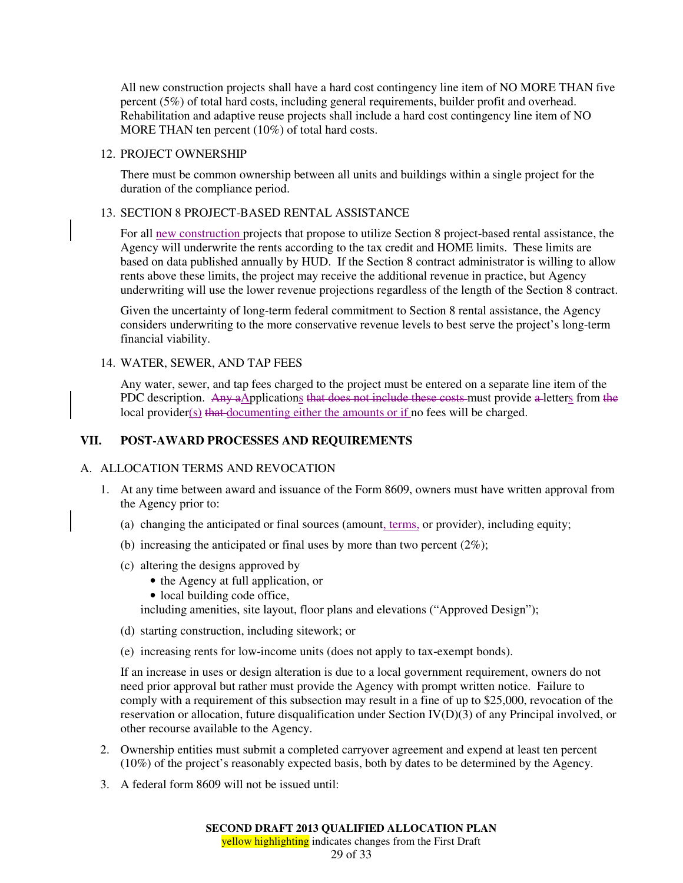All new construction projects shall have a hard cost contingency line item of NO MORE THAN five percent (5%) of total hard costs, including general requirements, builder profit and overhead. Rehabilitation and adaptive reuse projects shall include a hard cost contingency line item of NO MORE THAN ten percent (10%) of total hard costs.

### 12. PROJECT OWNERSHIP

There must be common ownership between all units and buildings within a single project for the duration of the compliance period.

## 13. SECTION 8 PROJECT-BASED RENTAL ASSISTANCE

For all new construction projects that propose to utilize Section 8 project-based rental assistance, the Agency will underwrite the rents according to the tax credit and HOME limits. These limits are based on data published annually by HUD. If the Section 8 contract administrator is willing to allow rents above these limits, the project may receive the additional revenue in practice, but Agency underwriting will use the lower revenue projections regardless of the length of the Section 8 contract.

Given the uncertainty of long-term federal commitment to Section 8 rental assistance, the Agency considers underwriting to the more conservative revenue levels to best serve the project's long-term financial viability.

## 14. WATER, SEWER, AND TAP FEES

Any water, sewer, and tap fees charged to the project must be entered on a separate line item of the PDC description. Any aApplications that does not include these costs must provide a letters from the local provider(s) that documenting either the amounts or if no fees will be charged.

# **VII. POST-AWARD PROCESSES AND REQUIREMENTS**

## A. ALLOCATION TERMS AND REVOCATION

- 1. At any time between award and issuance of the Form 8609, owners must have written approval from the Agency prior to:
	- (a) changing the anticipated or final sources (amount, terms, or provider), including equity;
	- (b) increasing the anticipated or final uses by more than two percent  $(2\%)$ ;
	- (c) altering the designs approved by
		- the Agency at full application, or
		- local building code office,

including amenities, site layout, floor plans and elevations ("Approved Design");

- (d) starting construction, including sitework; or
- (e) increasing rents for low-income units (does not apply to tax-exempt bonds).

If an increase in uses or design alteration is due to a local government requirement, owners do not need prior approval but rather must provide the Agency with prompt written notice. Failure to comply with a requirement of this subsection may result in a fine of up to \$25,000, revocation of the reservation or allocation, future disqualification under Section IV(D)(3) of any Principal involved, or other recourse available to the Agency.

- 2. Ownership entities must submit a completed carryover agreement and expend at least ten percent (10%) of the project's reasonably expected basis, both by dates to be determined by the Agency.
- 3. A federal form 8609 will not be issued until: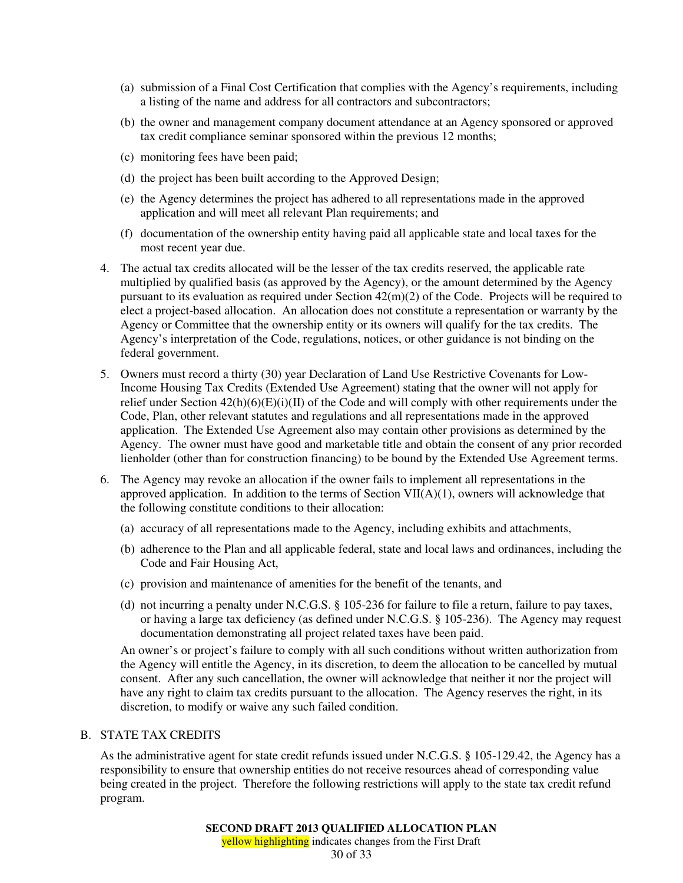- (a) submission of a Final Cost Certification that complies with the Agency's requirements, including a listing of the name and address for all contractors and subcontractors;
- (b) the owner and management company document attendance at an Agency sponsored or approved tax credit compliance seminar sponsored within the previous 12 months;
- (c) monitoring fees have been paid;
- (d) the project has been built according to the Approved Design;
- (e) the Agency determines the project has adhered to all representations made in the approved application and will meet all relevant Plan requirements; and
- (f) documentation of the ownership entity having paid all applicable state and local taxes for the most recent year due.
- 4. The actual tax credits allocated will be the lesser of the tax credits reserved, the applicable rate multiplied by qualified basis (as approved by the Agency), or the amount determined by the Agency pursuant to its evaluation as required under Section 42(m)(2) of the Code. Projects will be required to elect a project-based allocation. An allocation does not constitute a representation or warranty by the Agency or Committee that the ownership entity or its owners will qualify for the tax credits. The Agency's interpretation of the Code, regulations, notices, or other guidance is not binding on the federal government.
- 5. Owners must record a thirty (30) year Declaration of Land Use Restrictive Covenants for Low-Income Housing Tax Credits (Extended Use Agreement) stating that the owner will not apply for relief under Section 42(h)(6)(E)(i)(II) of the Code and will comply with other requirements under the Code, Plan, other relevant statutes and regulations and all representations made in the approved application. The Extended Use Agreement also may contain other provisions as determined by the Agency. The owner must have good and marketable title and obtain the consent of any prior recorded lienholder (other than for construction financing) to be bound by the Extended Use Agreement terms.
- 6. The Agency may revoke an allocation if the owner fails to implement all representations in the approved application. In addition to the terms of Section  $VII(A)(1)$ , owners will acknowledge that the following constitute conditions to their allocation:
	- (a) accuracy of all representations made to the Agency, including exhibits and attachments,
	- (b) adherence to the Plan and all applicable federal, state and local laws and ordinances, including the Code and Fair Housing Act,
	- (c) provision and maintenance of amenities for the benefit of the tenants, and
	- (d) not incurring a penalty under N.C.G.S. § 105-236 for failure to file a return, failure to pay taxes, or having a large tax deficiency (as defined under N.C.G.S. § 105-236). The Agency may request documentation demonstrating all project related taxes have been paid.

An owner's or project's failure to comply with all such conditions without written authorization from the Agency will entitle the Agency, in its discretion, to deem the allocation to be cancelled by mutual consent. After any such cancellation, the owner will acknowledge that neither it nor the project will have any right to claim tax credits pursuant to the allocation. The Agency reserves the right, in its discretion, to modify or waive any such failed condition.

# B. STATE TAX CREDITS

As the administrative agent for state credit refunds issued under N.C.G.S. § 105-129.42, the Agency has a responsibility to ensure that ownership entities do not receive resources ahead of corresponding value being created in the project. Therefore the following restrictions will apply to the state tax credit refund program.

yellow highlighting indicates changes from the First Draft 30 of 33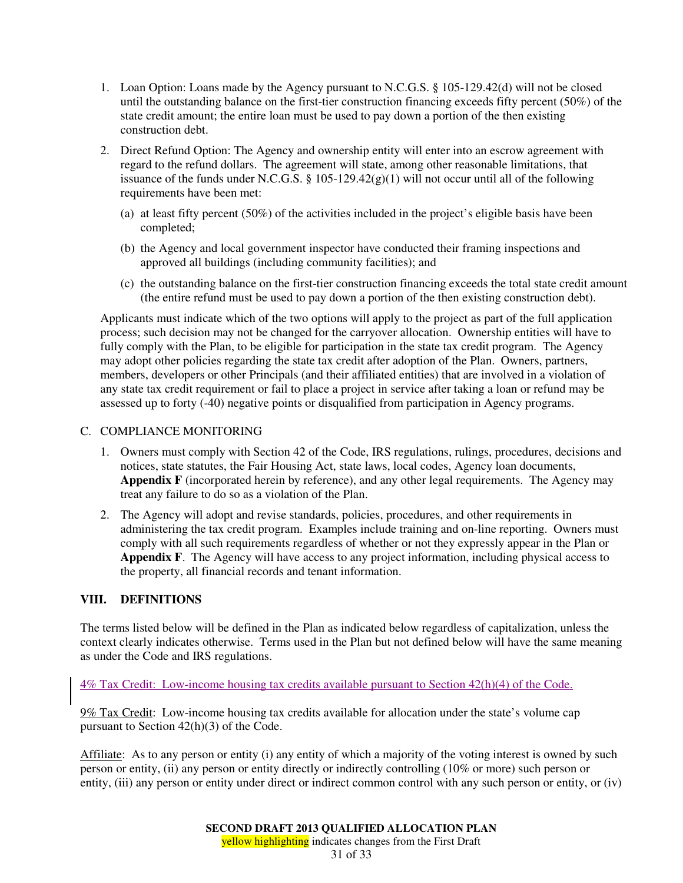- 1. Loan Option: Loans made by the Agency pursuant to N.C.G.S. § 105-129.42(d) will not be closed until the outstanding balance on the first-tier construction financing exceeds fifty percent (50%) of the state credit amount; the entire loan must be used to pay down a portion of the then existing construction debt.
- 2. Direct Refund Option: The Agency and ownership entity will enter into an escrow agreement with regard to the refund dollars. The agreement will state, among other reasonable limitations, that issuance of the funds under N.C.G.S.  $\S$  105-129.42(g)(1) will not occur until all of the following requirements have been met:
	- (a) at least fifty percent (50%) of the activities included in the project's eligible basis have been completed;
	- (b) the Agency and local government inspector have conducted their framing inspections and approved all buildings (including community facilities); and
	- (c) the outstanding balance on the first-tier construction financing exceeds the total state credit amount (the entire refund must be used to pay down a portion of the then existing construction debt).

Applicants must indicate which of the two options will apply to the project as part of the full application process; such decision may not be changed for the carryover allocation. Ownership entities will have to fully comply with the Plan, to be eligible for participation in the state tax credit program. The Agency may adopt other policies regarding the state tax credit after adoption of the Plan. Owners, partners, members, developers or other Principals (and their affiliated entities) that are involved in a violation of any state tax credit requirement or fail to place a project in service after taking a loan or refund may be assessed up to forty (-40) negative points or disqualified from participation in Agency programs.

## C. COMPLIANCE MONITORING

- 1. Owners must comply with Section 42 of the Code, IRS regulations, rulings, procedures, decisions and notices, state statutes, the Fair Housing Act, state laws, local codes, Agency loan documents, **Appendix F** (incorporated herein by reference), and any other legal requirements. The Agency may treat any failure to do so as a violation of the Plan.
- 2. The Agency will adopt and revise standards, policies, procedures, and other requirements in administering the tax credit program. Examples include training and on-line reporting. Owners must comply with all such requirements regardless of whether or not they expressly appear in the Plan or **Appendix F**. The Agency will have access to any project information, including physical access to the property, all financial records and tenant information.

# **VIII. DEFINITIONS**

The terms listed below will be defined in the Plan as indicated below regardless of capitalization, unless the context clearly indicates otherwise. Terms used in the Plan but not defined below will have the same meaning as under the Code and IRS regulations.

## 4% Tax Credit: Low-income housing tax credits available pursuant to Section 42(h)(4) of the Code.

9% Tax Credit: Low-income housing tax credits available for allocation under the state's volume cap pursuant to Section 42(h)(3) of the Code.

Affiliate: As to any person or entity (i) any entity of which a majority of the voting interest is owned by such person or entity, (ii) any person or entity directly or indirectly controlling (10% or more) such person or entity, (iii) any person or entity under direct or indirect common control with any such person or entity, or (iv)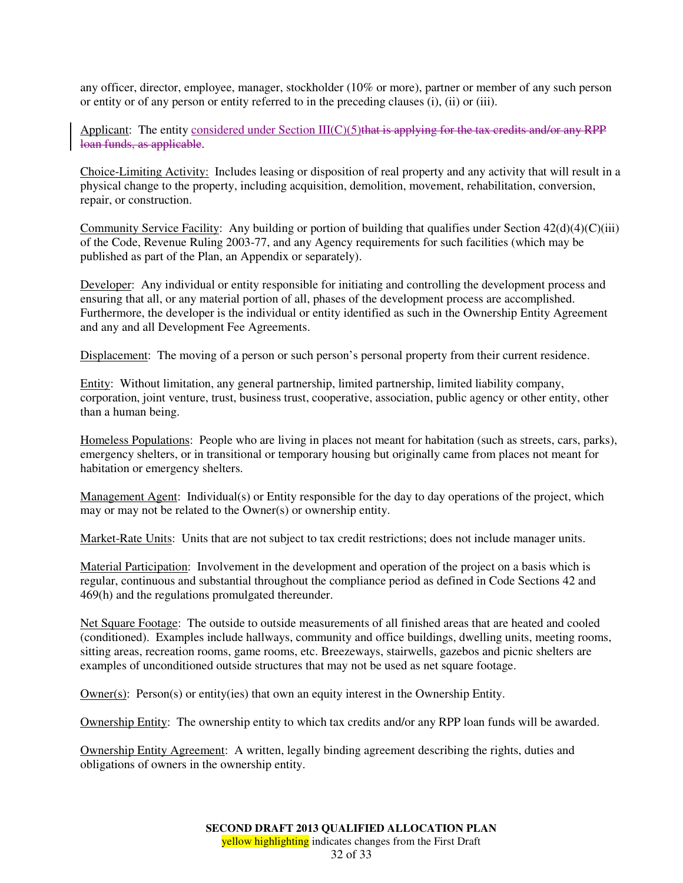any officer, director, employee, manager, stockholder (10% or more), partner or member of any such person or entity or of any person or entity referred to in the preceding clauses (i), (ii) or (iii).

Applicant: The entity considered under Section  $III(C)(5)$  that is applying for the tax credits and/or any RPP loan funds, as applicable.

Choice-Limiting Activity: Includes leasing or disposition of real property and any activity that will result in a physical change to the property, including acquisition, demolition, movement, rehabilitation, conversion, repair, or construction.

Community Service Facility: Any building or portion of building that qualifies under Section  $42(d)(4)(C)(iii)$ of the Code, Revenue Ruling 2003-77, and any Agency requirements for such facilities (which may be published as part of the Plan, an Appendix or separately).

Developer: Any individual or entity responsible for initiating and controlling the development process and ensuring that all, or any material portion of all, phases of the development process are accomplished. Furthermore, the developer is the individual or entity identified as such in the Ownership Entity Agreement and any and all Development Fee Agreements.

Displacement: The moving of a person or such person's personal property from their current residence.

Entity: Without limitation, any general partnership, limited partnership, limited liability company, corporation, joint venture, trust, business trust, cooperative, association, public agency or other entity, other than a human being.

Homeless Populations: People who are living in places not meant for habitation (such as streets, cars, parks), emergency shelters, or in transitional or temporary housing but originally came from places not meant for habitation or emergency shelters.

Management Agent: Individual(s) or Entity responsible for the day to day operations of the project, which may or may not be related to the Owner(s) or ownership entity.

Market-Rate Units: Units that are not subject to tax credit restrictions; does not include manager units.

Material Participation: Involvement in the development and operation of the project on a basis which is regular, continuous and substantial throughout the compliance period as defined in Code Sections 42 and 469(h) and the regulations promulgated thereunder.

Net Square Footage: The outside to outside measurements of all finished areas that are heated and cooled (conditioned). Examples include hallways, community and office buildings, dwelling units, meeting rooms, sitting areas, recreation rooms, game rooms, etc. Breezeways, stairwells, gazebos and picnic shelters are examples of unconditioned outside structures that may not be used as net square footage.

Owner(s):  $Person(s)$  or entity(ies) that own an equity interest in the Ownership Entity.

Ownership Entity: The ownership entity to which tax credits and/or any RPP loan funds will be awarded.

Ownership Entity Agreement: A written, legally binding agreement describing the rights, duties and obligations of owners in the ownership entity.